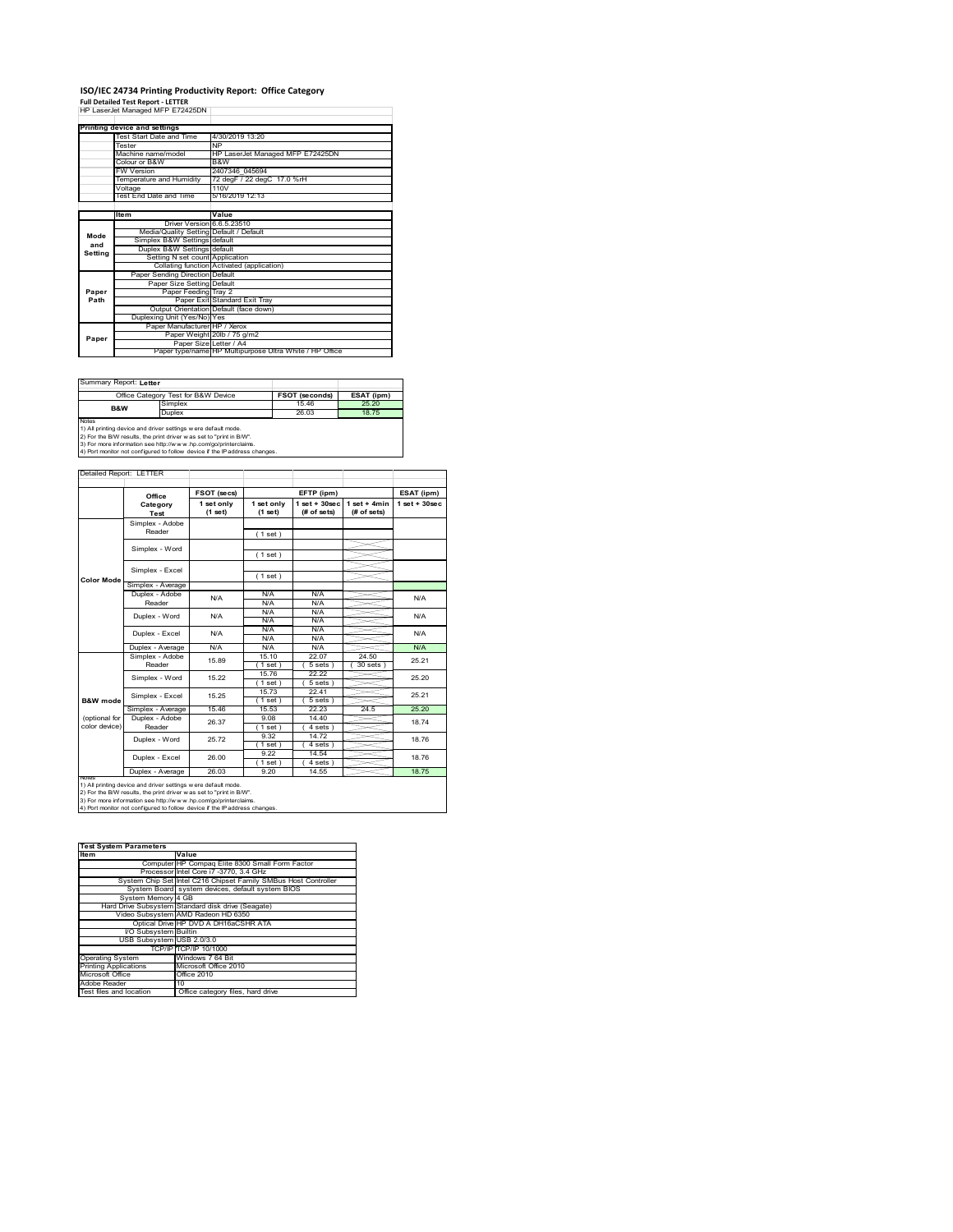# **ISO/IEC 24734 Printing Productivity Report: Office Category<br>Full Detailed Test Report - LETTER<br>HP LaserJet Managed MFP E72425DN |**

|         | Printing device and settings            |                                                         |  |  |
|---------|-----------------------------------------|---------------------------------------------------------|--|--|
|         | Test Start Date and Time                | 4/30/2019 13:20                                         |  |  |
|         | Tester                                  | <b>NP</b>                                               |  |  |
|         | Machine name/model                      | HP LaserJet Managed MFP E72425DN                        |  |  |
|         | Colour or B&W                           | B&W                                                     |  |  |
|         | <b>FW Version</b>                       | 2407346 045694                                          |  |  |
|         | Temperature and Humidity                | 72 degF / 22 degC 17.0 %rH                              |  |  |
|         | Voltage                                 | 110V                                                    |  |  |
|         | Test End Date and Time                  | 5/16/2019 12:13                                         |  |  |
|         |                                         |                                                         |  |  |
|         | <b>Item</b>                             | Value                                                   |  |  |
|         | Driver Version 6.6.5.23510              |                                                         |  |  |
| Mode    | Media/Quality Setting Default / Default |                                                         |  |  |
| and     | Simplex B&W Settings default            |                                                         |  |  |
| Setting | Duplex B&W Settings default             |                                                         |  |  |
|         | Setting N set count Application         |                                                         |  |  |
|         |                                         | Collating function Activated (application)              |  |  |
|         | Paper Sending Direction Default         |                                                         |  |  |
|         | Paper Size Setting Default              |                                                         |  |  |
| Paper   | Paper Feeding Tray 2                    |                                                         |  |  |
| Path    |                                         | Paper Exit Standard Exit Tray                           |  |  |
|         |                                         | Output Orientation Default (face down)                  |  |  |
|         | Duplexing Unit (Yes/No) Yes             |                                                         |  |  |
|         | Paper Manufacturer HP / Xerox           |                                                         |  |  |
| Paper   |                                         | Paper Weight 20lb / 75 g/m2                             |  |  |
|         | Paper Size Letter / A4                  |                                                         |  |  |
|         |                                         | Paper type/name HP Multipurpose Ultra White / HP Office |  |  |

 $\sim$ 

Summary Report: **Letter**

|                                                                | Office Category Test for B&W Device                                  | <b>FSOT (seconds)</b> | ESAT (ipm) |  |  |  |
|----------------------------------------------------------------|----------------------------------------------------------------------|-----------------------|------------|--|--|--|
| B&W                                                            | Simplex                                                              | 1546                  | 25.20      |  |  |  |
|                                                                | Duplex                                                               | 26.03                 | 1875       |  |  |  |
| <b>Notes</b>                                                   |                                                                      |                       |            |  |  |  |
| 1) All printing device and driver settings w ere default mode. |                                                                      |                       |            |  |  |  |
|                                                                | [2) For the B/W results, the print driver was set to "print in B/W". |                       |            |  |  |  |

2) For the B/W results, the print driver w as set to "print in B/W".<br>3) For more information see http://w w w .hp.com/go/printerclaims.<br>4) Port monitor not configured to follow device if the IP address changes.

Detailed Report: LETTER Τ

|                   | Office            | FSOT (secs) | EFTP (ipm)  |                  | ESAT (ipm)     |                    |
|-------------------|-------------------|-------------|-------------|------------------|----------------|--------------------|
|                   | Category          | 1 set only  | 1 set only  | $1 set + 30 sec$ | $1$ set + 4min | $1$ set + $30$ sec |
|                   | Test              | (1 set)     | (1 set)     | (# of sets)      | (# of sets)    |                    |
|                   | Simplex - Adobe   |             |             |                  |                |                    |
|                   | Reader            |             | (1 set)     |                  |                |                    |
|                   | Simplex - Word    |             |             |                  |                |                    |
|                   |                   |             | (1 set)     |                  |                |                    |
|                   | Simplex - Excel   |             |             |                  |                |                    |
| <b>Color Mode</b> |                   |             | (1 set)     |                  |                |                    |
|                   | Simplex - Average |             |             |                  |                |                    |
|                   | Duplex - Adobe    | N/A         | N/A         | N/A              |                | N/A                |
|                   | Reader            |             | N/A         | N/A              |                |                    |
|                   | Duplex - Word     | N/A         | N/A         | N/A              |                | N/A                |
|                   |                   |             | N/A         | N/A              |                |                    |
|                   | Duplex - Excel    | N/A         | N/A         | N/A              |                | N/A                |
|                   |                   |             | N/A         | N/A              |                |                    |
|                   | Duplex - Average  | N/A         | N/A         | N/A              |                | N/A                |
|                   | Simplex - Adobe   | 15.89       | 15.10       | 22.07            | 24.50          | 25.21              |
|                   | Reader            |             | (1 set)     | 5 sets 1         | $30$ sets $)$  |                    |
|                   | Simplex - Word    | 15.22       | 1576        | 22.22            |                | 25.20              |
|                   |                   |             | $1$ set)    | 5 sets)          |                |                    |
|                   | Simplex - Excel   | 15.25       | 15.73       | 22.41            |                | 25 21              |
| B&W mode          |                   |             | (1 set)     | $5 sets$ )       |                |                    |
|                   | Simplex - Average | 15.46       | 15.53       | 22.23            | 24.5           | 25.20              |
| (optional for     | Duplex - Adobe    | 26.37       | 9.08        | 14 40            |                | 18.74              |
| color device)     | Reader            |             | (1 set)     | $4 sets$ )       |                |                    |
|                   | Duplex - Word     | 2572        | 9.32        | 1472             |                | 18.76              |
|                   |                   |             | $1$ set $)$ | 4 sets)          |                |                    |
|                   | Duplex - Excel    | 26.00       | 9.22        | 14.54            |                | 1876               |
|                   |                   |             | $1$ set)    | 4 sets)          |                |                    |
| <b>NOtes</b>      | Duplex - Average  | 26.03       | 9.20        | 14.55            |                | 18.75              |

1) All printing device and driver settings were default mode.<br>2) For the B/W results, the print driver was set to "print in B/W".<br>3) For more information see http://www.hp.com/go/printerclaims.<br>4) Port monitor not configur

| <b>Test System Parameters</b> |                                                                 |  |  |
|-------------------------------|-----------------------------------------------------------------|--|--|
| <b>Item</b>                   | Value                                                           |  |  |
|                               | Computer HP Compaq Elite 8300 Small Form Factor                 |  |  |
|                               | Processor Intel Core i7 -3770, 3.4 GHz                          |  |  |
|                               | System Chip Set Intel C216 Chipset Family SMBus Host Controller |  |  |
|                               | System Board system devices, default system BIOS                |  |  |
| System Memory 4 GB            |                                                                 |  |  |
|                               | Hard Drive Subsystem Standard disk drive (Seagate)              |  |  |
|                               | Video Subsystem AMD Radeon HD 6350                              |  |  |
|                               | Optical Drive HP DVD A DH16aCSHR ATA                            |  |  |
| VO Subsystem Builtin          |                                                                 |  |  |
| USB Subsystem USB 2.0/3.0     |                                                                 |  |  |
|                               | TCP/IP TCP/IP 10/1000                                           |  |  |
| <b>Operating System</b>       | Windows 7 64 Bit                                                |  |  |
| <b>Printing Applications</b>  | Microsoft Office 2010                                           |  |  |
| Microsoft Office              | Office 2010                                                     |  |  |
| Adobe Reader                  | 10                                                              |  |  |
| Test files and location       | Office category files, hard drive                               |  |  |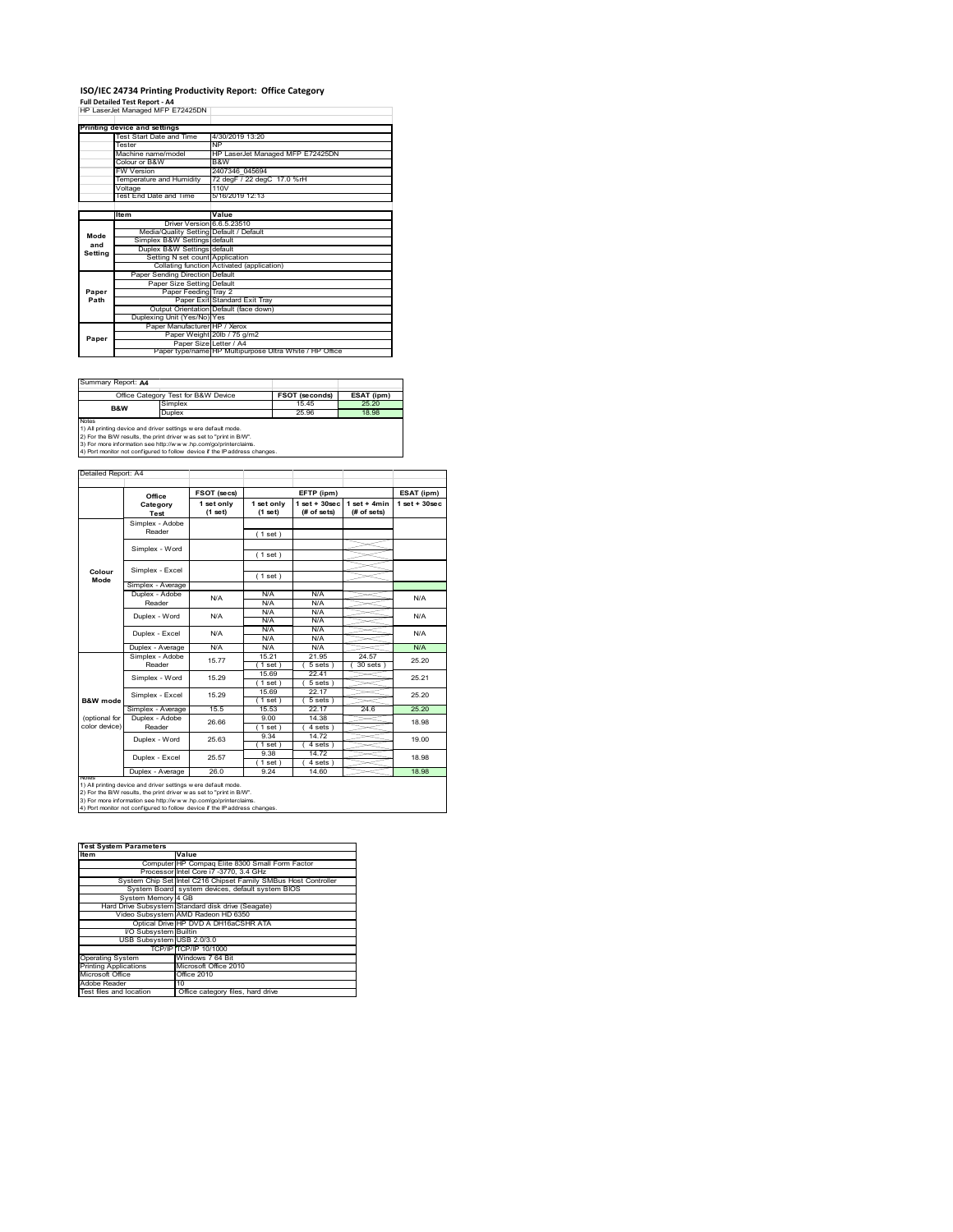## **ISO/IEC 24734 Printing Productivity Report: Office Category**

**Full Detailed Test Report ‐ A4** HP LaserJet Managed MFP E72425DN

|         | Printing device and settings            |                                                         |  |  |
|---------|-----------------------------------------|---------------------------------------------------------|--|--|
|         | Test Start Date and Time                | 4/30/2019 13:20                                         |  |  |
|         | Tester                                  | <b>NP</b>                                               |  |  |
|         | Machine name/model                      | HP LaserJet Managed MFP E72425DN                        |  |  |
|         | Colour or B&W                           | B&W                                                     |  |  |
|         | FW Version                              | 2407346 045694                                          |  |  |
|         | Temperature and Humidity                | 72 degF / 22 degC 17.0 %rH                              |  |  |
|         | Voltage                                 | 110V                                                    |  |  |
|         | Test End Date and Time                  | 5/16/2019 12:13                                         |  |  |
|         |                                         |                                                         |  |  |
|         | Item                                    | Value                                                   |  |  |
|         | Driver Version 6.6.5.23510              |                                                         |  |  |
| Mode    | Media/Quality Setting Default / Default |                                                         |  |  |
| and     | Simplex B&W Settings default            |                                                         |  |  |
| Setting | Duplex B&W Settings default             |                                                         |  |  |
|         | Setting N set count Application         |                                                         |  |  |
|         |                                         | Collating function Activated (application)              |  |  |
|         | Paper Sending Direction Default         |                                                         |  |  |
|         | Paper Size Setting Default              |                                                         |  |  |
| Paper   | Paper Feeding Tray 2                    |                                                         |  |  |
| Path    |                                         | Paper Exit Standard Exit Tray                           |  |  |
|         |                                         | Output Orientation Default (face down)                  |  |  |
|         | Duplexing Unit (Yes/No) Yes             |                                                         |  |  |
|         | Paper Manufacturer HP / Xerox           |                                                         |  |  |
| Paper   |                                         | Paper Weight 20lb / 75 g/m2                             |  |  |
|         | Paper Size Letter / A4                  |                                                         |  |  |
|         |                                         | Paper type/name HP Multipurpose Ultra White / HP Office |  |  |

÷,

Summary Report: **A4**

|                                                                | Office Category Test for B&W Device                               | <b>FSOT (seconds)</b> | ESAT (ipm) |  |  |  |
|----------------------------------------------------------------|-------------------------------------------------------------------|-----------------------|------------|--|--|--|
| B&W                                                            | Simplex                                                           | 1545                  | 25.20      |  |  |  |
|                                                                | Duplex                                                            | 25.96                 | 18.98      |  |  |  |
| <b>Notes</b>                                                   |                                                                   |                       |            |  |  |  |
| 1) All printing device and driver settings w ere default mode. |                                                                   |                       |            |  |  |  |
|                                                                | 2) For the RAM require the print driver was not to "print in RAA" |                       |            |  |  |  |

2) For the B/W results, the print driver w as set to "print in B/W".<br>3) For more information see http://w w w .hp.com/go/printerclaims.<br>4) Port monitor not configured to follow device if the IP address changes.

|                     | Office            | FSOT (secs)             |                       | EFTP (ipm)                        |                               | ESAT (ipm)         |
|---------------------|-------------------|-------------------------|-----------------------|-----------------------------------|-------------------------------|--------------------|
|                     | Category<br>Test  | 1 set only<br>$(1$ set) | 1 set only<br>(1 set) | $1$ set + $30$ sec<br>(# of sets) | $1$ set + 4min<br>(# of sets) | $1$ set + $30$ sec |
|                     | Simplex - Adobe   |                         |                       |                                   |                               |                    |
|                     | Reader            |                         | (1 set)               |                                   |                               |                    |
|                     | Simplex - Word    |                         |                       |                                   |                               |                    |
|                     |                   |                         | (1 set)               |                                   |                               |                    |
|                     | Simplex - Excel   |                         |                       |                                   |                               |                    |
| Colour<br>Mode      |                   |                         | (1 set)               |                                   |                               |                    |
|                     | Simplex - Average |                         |                       |                                   |                               |                    |
|                     | Duplex - Adobe    | N/A                     | N/A                   | N/A                               |                               | N/A                |
|                     | Reader            |                         | N/A                   | N/A                               |                               |                    |
|                     | Duplex - Word     | N/A                     | N/A                   | N/A                               |                               | N/A                |
|                     |                   |                         | N/A                   | N/A                               |                               |                    |
|                     | Duplex - Excel    | N/A                     | N/A                   | N/A                               |                               | N/A                |
|                     |                   |                         | N/A                   | N/A                               |                               |                    |
|                     | Duplex - Average  | N/A                     | N/A                   | N/A                               |                               | N/A                |
|                     | Simplex - Adobe   | 15.77                   | 15 21                 | 21.95                             | 24.57                         | 25.20              |
|                     | Reader            |                         | (1 set)               | 5 sets 1                          | $30$ sets $1$                 |                    |
|                     | Simplex - Word    | 15 29                   | 15.69                 | 22 41                             |                               | 25 21              |
|                     |                   |                         | (1 set)               | 5 sets                            |                               |                    |
|                     | Simplex - Excel   | 15 29                   | 15.69                 | 22.17                             |                               | 25 20              |
| <b>B&amp;W</b> mode |                   |                         | 1 set                 | 5 sets                            |                               |                    |
|                     | Simplex - Average | 15.5                    | 15.53                 | 22.17                             | 24.6                          | 25.20              |
| (optional for       | Duplex - Adobe    | 26.66                   | 9.00                  | 14.38                             |                               |                    |
| color device)       | Reader            |                         | $1$ set $1$           | 4 sets)                           |                               | 18.98              |
|                     |                   | 25.63                   | 9.34                  | 1472                              |                               | 19.00              |
|                     | Duplex - Word     |                         | 1 set)                | $4 sets$ )                        |                               |                    |
|                     |                   | 25.57                   | 9.38                  | 14.72                             |                               | 18.98              |
|                     | Duplex - Excel    |                         | (1 set)               | 4 sets                            |                               |                    |
|                     | Duplex - Average  | 26.0                    | 9.24                  | 14.60                             |                               | 18.98              |

1) All printing device and driver settings were default mode.<br>2) For the B/W results, the print driver was set to "print in B/W".<br>3) For more information see http://www.hp.com/go/printerclaims.<br>4) Port monitor not configur

| <b>Test System Parameters</b> |                                                                 |  |  |
|-------------------------------|-----------------------------------------------------------------|--|--|
| <b>Item</b>                   | Value                                                           |  |  |
|                               | Computer HP Compaq Elite 8300 Small Form Factor                 |  |  |
|                               | Processor Intel Core i7 -3770, 3.4 GHz                          |  |  |
|                               | System Chip Set Intel C216 Chipset Family SMBus Host Controller |  |  |
|                               | System Board system devices, default system BIOS                |  |  |
| System Memory 4 GB            |                                                                 |  |  |
|                               | Hard Drive Subsystem Standard disk drive (Seagate)              |  |  |
|                               | Video Subsystem AMD Radeon HD 6350                              |  |  |
|                               | Optical Drive HP DVD A DH16aCSHR ATA                            |  |  |
| I/O Subsystem Builtin         |                                                                 |  |  |
| USB Subsystem USB 2.0/3.0     |                                                                 |  |  |
|                               | TCP/IP TCP/IP 10/1000                                           |  |  |
| <b>Operating System</b>       | Windows 7 64 Bit                                                |  |  |
| <b>Printing Applications</b>  | Microsoft Office 2010                                           |  |  |
| Microsoft Office              | Office 2010                                                     |  |  |
| Adobe Reader                  | 10                                                              |  |  |
| Test files and location       | Office category files, hard drive                               |  |  |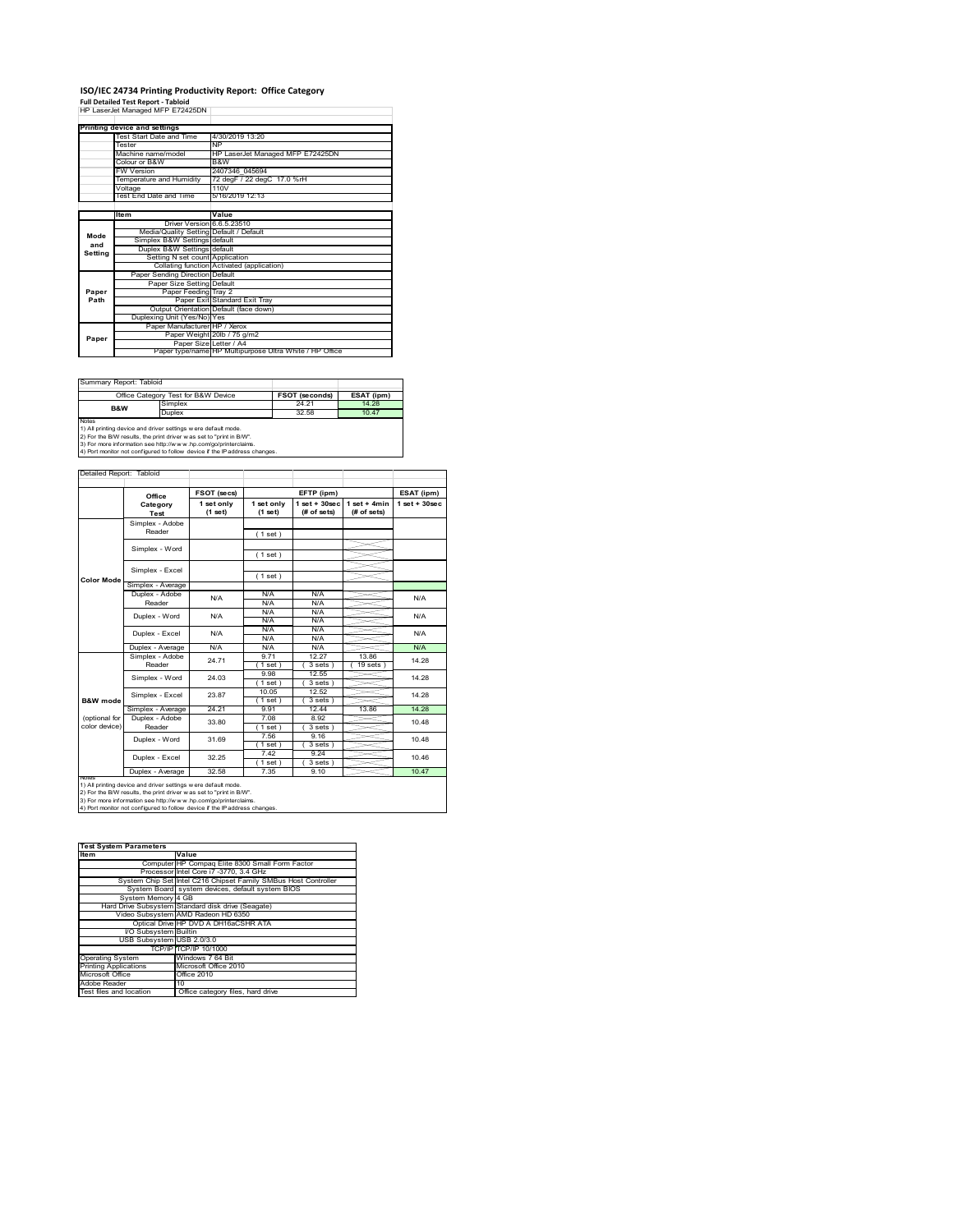# **ISO/IEC 24734 Printing Productivity Report: Office Category<br>Full Detailed Test Report - Tabloid<br>HP LaserJet Managed MFP E72425DN |**

|         | . an betaned Test Report - Tabloid      |                                                         |  |  |  |
|---------|-----------------------------------------|---------------------------------------------------------|--|--|--|
|         | HP LaserJet Managed MFP E72425DN        |                                                         |  |  |  |
|         |                                         |                                                         |  |  |  |
|         | Printing device and settings            |                                                         |  |  |  |
|         | Test Start Date and Time                | 4/30/2019 13:20                                         |  |  |  |
|         | Tester                                  | <b>NP</b>                                               |  |  |  |
|         | Machine name/model                      | HP LaserJet Managed MFP E72425DN                        |  |  |  |
|         | Colour or B&W                           | B&W                                                     |  |  |  |
|         | <b>FW Version</b>                       | 2407346 045694                                          |  |  |  |
|         | Temperature and Humidity                | 72 degF / 22 degC 17.0 %rH                              |  |  |  |
|         | Voltage                                 | 110V                                                    |  |  |  |
|         | Test End Date and Time                  | 5/16/2019 12:13                                         |  |  |  |
|         |                                         |                                                         |  |  |  |
|         | Item                                    | Value                                                   |  |  |  |
|         | Driver Version 6.6.5.23510              |                                                         |  |  |  |
| Mode    | Media/Quality Setting Default / Default |                                                         |  |  |  |
| and     | Simplex B&W Settings default            |                                                         |  |  |  |
| Setting | Duplex B&W Settings default             |                                                         |  |  |  |
|         | Setting N set count Application         |                                                         |  |  |  |
|         |                                         | Collating function Activated (application)              |  |  |  |
|         | Paper Sending Direction Default         |                                                         |  |  |  |
|         | Paper Size Setting Default              |                                                         |  |  |  |
|         |                                         |                                                         |  |  |  |
| Paper   | Paper Feeding Tray 2                    |                                                         |  |  |  |
| Path    |                                         | Paper Exit Standard Exit Tray                           |  |  |  |
|         |                                         | Output Orientation Default (face down)                  |  |  |  |
|         | Duplexing Unit (Yes/No) Yes             |                                                         |  |  |  |
|         | Paper Manufacturer HP / Xerox           |                                                         |  |  |  |
|         |                                         | Paper Weight 20lb / 75 g/m2                             |  |  |  |
| Paper   | Paper Size Letter / A4                  | Paper type/name HP Multipurpose Ultra White / HP Office |  |  |  |

Summary Report: Tabloid

|                                                                     | Office Category Test for B&W Device | <b>FSOT (seconds)</b> | ESAT (ipm) |  |  |  |
|---------------------------------------------------------------------|-------------------------------------|-----------------------|------------|--|--|--|
| B&W                                                                 | Simplex                             | 24 21                 | 14 28      |  |  |  |
|                                                                     | Duplex                              | 32.58                 | 10.47      |  |  |  |
| <b>Notes</b>                                                        |                                     |                       |            |  |  |  |
| 1) All printing device and driver settings w ere default mode.      |                                     |                       |            |  |  |  |
| 2) For the B/W results, the print driver was set to "print in B/W". |                                     |                       |            |  |  |  |

f

2) For the B/W results, the print driver w as set to "print in B/W".<br>3) For more information see http://w w w .hp.com/go/printerclaims.<br>4) Port monitor not configured to follow device if the IP address changes.

| Detailed Report: Tabloid                                                                                                                                                                                                                                                                |                   |                       |                       |                                   |                                |                    |
|-----------------------------------------------------------------------------------------------------------------------------------------------------------------------------------------------------------------------------------------------------------------------------------------|-------------------|-----------------------|-----------------------|-----------------------------------|--------------------------------|--------------------|
|                                                                                                                                                                                                                                                                                         | Office            | FSOT (secs)           |                       | EFTP (ipm)                        |                                | ESAT (ipm)         |
|                                                                                                                                                                                                                                                                                         | Category<br>Test  | 1 set only<br>(1 set) | 1 set only<br>(1 set) | $1$ set + $30$ sec<br>(# of sets) | $1 set + 4 min$<br>(# of sets) | $1$ set + $30$ sec |
|                                                                                                                                                                                                                                                                                         | Simplex - Adobe   |                       |                       |                                   |                                |                    |
|                                                                                                                                                                                                                                                                                         | Reader            |                       | (1 set)               |                                   |                                |                    |
|                                                                                                                                                                                                                                                                                         |                   |                       |                       |                                   |                                |                    |
|                                                                                                                                                                                                                                                                                         | Simplex - Word    |                       | (1 set)               |                                   |                                |                    |
|                                                                                                                                                                                                                                                                                         |                   |                       |                       |                                   |                                |                    |
|                                                                                                                                                                                                                                                                                         | Simplex - Excel   |                       | (1 set)               |                                   |                                |                    |
| <b>Color Mode</b>                                                                                                                                                                                                                                                                       | Simplex - Average |                       |                       |                                   |                                |                    |
|                                                                                                                                                                                                                                                                                         | Duplex - Adobe    | N/A                   | N/A                   | N/A                               |                                | N/A                |
|                                                                                                                                                                                                                                                                                         | Reader            |                       | N/A                   | N/A                               |                                |                    |
|                                                                                                                                                                                                                                                                                         | Duplex - Word     | N/A                   | N/A                   | N/A                               |                                | N/A                |
|                                                                                                                                                                                                                                                                                         |                   |                       | N/A                   | N/A                               |                                |                    |
|                                                                                                                                                                                                                                                                                         | Duplex - Excel    | N/A                   | N/A                   | N/A                               |                                | N/A                |
|                                                                                                                                                                                                                                                                                         |                   |                       | N/A                   | N/A                               |                                |                    |
|                                                                                                                                                                                                                                                                                         | Duplex - Average  | N/A                   | N/A                   | N/A                               |                                | N/A                |
|                                                                                                                                                                                                                                                                                         | Simplex - Adobe   | 24 71                 | 9.71                  | 12 27                             | 13.86                          | 14.28              |
|                                                                                                                                                                                                                                                                                         | Reader            |                       | $1$ set)              | 3 sets                            | 19 sets                        |                    |
|                                                                                                                                                                                                                                                                                         | Simplex - Word    | 24.03                 | 9.98                  | 12.55                             |                                | 14.28              |
|                                                                                                                                                                                                                                                                                         |                   |                       | 1 set                 | 3 sets                            |                                |                    |
|                                                                                                                                                                                                                                                                                         | Simplex - Excel   | 23.87                 | 10.05                 | 12.52                             |                                | 14 28              |
| B&W mode                                                                                                                                                                                                                                                                                |                   |                       | $1$ set)              | 3 sets                            |                                |                    |
|                                                                                                                                                                                                                                                                                         | Simplex - Average | 24 21                 | 9 91                  | 1244                              | 13.86                          | 14 28              |
| (optional for                                                                                                                                                                                                                                                                           | Duplex - Adobe    | 33.80                 | 7.08                  | 8.92                              |                                | 10.48              |
| color device)                                                                                                                                                                                                                                                                           | Reader            |                       | (1 set)               | 3 sets)                           |                                |                    |
|                                                                                                                                                                                                                                                                                         | Duplex - Word     | 31.69                 | 7.56                  | 9.16                              |                                | 10.48              |
|                                                                                                                                                                                                                                                                                         |                   |                       | $1$ set)              | 3 sets)                           |                                |                    |
|                                                                                                                                                                                                                                                                                         | Duplex - Excel    | 32.25                 | 742                   | 9 24                              |                                | 10.46              |
|                                                                                                                                                                                                                                                                                         | Duplex - Average  | 32.58                 | $1$ set)<br>7.35      | 3 sets)<br>9.10                   |                                | 10.47              |
| <b>NOtes</b>                                                                                                                                                                                                                                                                            |                   |                       |                       |                                   |                                |                    |
| 1) All printing device and driver settings w ere default mode.<br>2) For the B/W results, the print driver w as set to "print in B/W".<br>3) For more information see http://www.hp.com/go/printerclaims.<br>4) Port monitor not configured to follow device if the IP address changes. |                   |                       |                       |                                   |                                |                    |

| <b>Test System Parameters</b> |                                                                 |  |  |
|-------------------------------|-----------------------------------------------------------------|--|--|
| <b>Item</b>                   | Value                                                           |  |  |
|                               | Computer HP Compaq Elite 8300 Small Form Factor                 |  |  |
|                               | Processor Intel Core i7 -3770, 3.4 GHz                          |  |  |
|                               | System Chip Set Intel C216 Chipset Family SMBus Host Controller |  |  |
|                               | System Board system devices, default system BIOS                |  |  |
| System Memory 4 GB            |                                                                 |  |  |
|                               | Hard Drive Subsystem Standard disk drive (Seagate)              |  |  |
|                               | Video Subsystem AMD Radeon HD 6350                              |  |  |
|                               | Optical Drive HP DVD A DH16aCSHR ATA                            |  |  |
| VO Subsystem Builtin          |                                                                 |  |  |
| USB Subsystem USB 2.0/3.0     |                                                                 |  |  |
|                               | TCP/IP TCP/IP 10/1000                                           |  |  |
| <b>Operating System</b>       | Windows 7 64 Bit                                                |  |  |
| <b>Printing Applications</b>  | Microsoft Office 2010                                           |  |  |
| Microsoft Office              | Office 2010                                                     |  |  |
| Adobe Reader                  | 10                                                              |  |  |
| Test files and location       | Office category files, hard drive                               |  |  |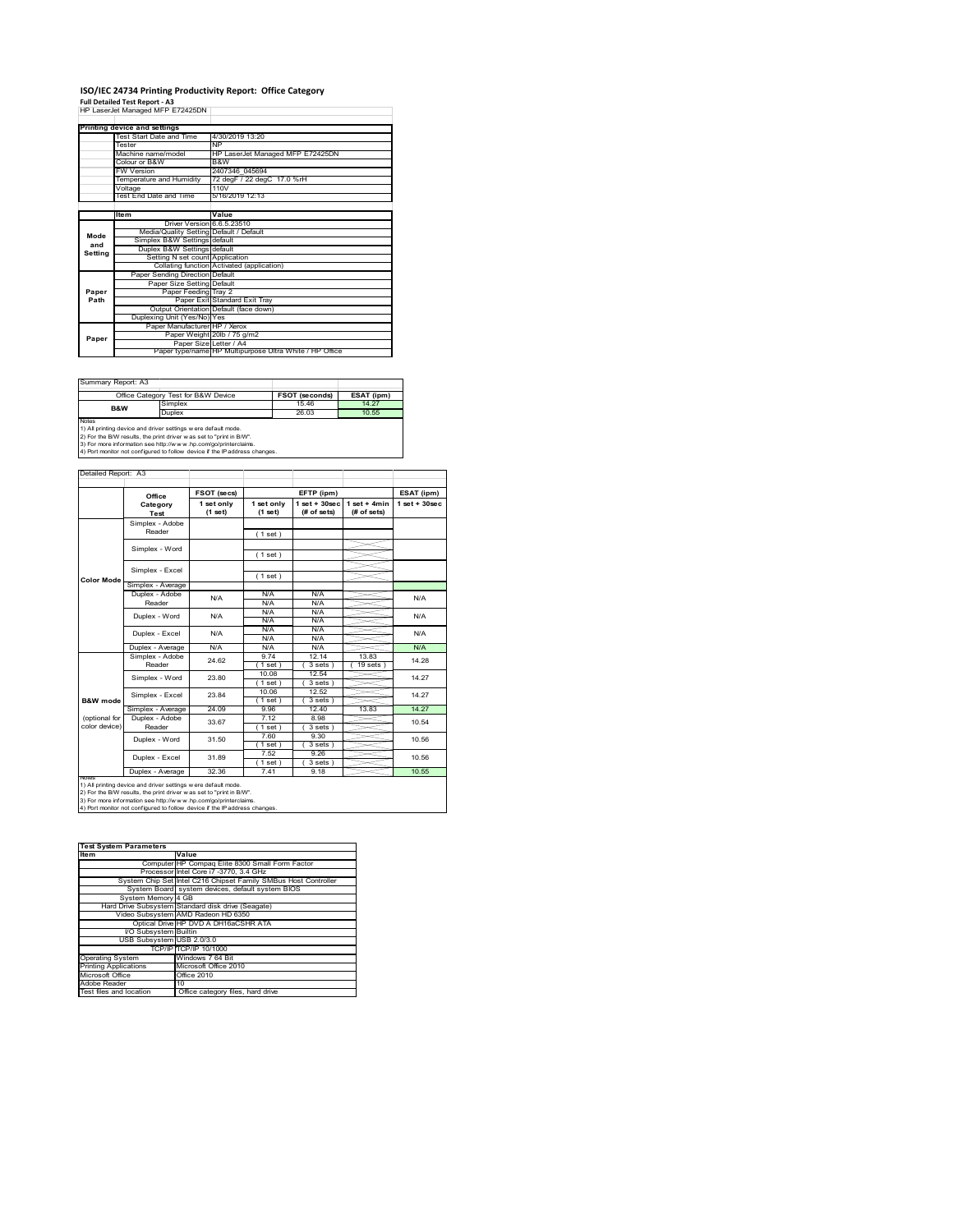#### **ISO/IEC 24734 Printing Productivity Report: Office Category Full Detailed Test Report ‐ A3** HP LaserJet Managed MFP E72425DN

|         | Printing device and settings            |                                                         |
|---------|-----------------------------------------|---------------------------------------------------------|
|         | Test Start Date and Time                | 4/30/2019 13:20                                         |
|         | Tester                                  | <b>NP</b>                                               |
|         | Machine name/model                      | HP LaserJet Managed MFP E72425DN                        |
|         | Colour or B&W                           | B&W                                                     |
|         | <b>FW Version</b>                       | 2407346 045694                                          |
|         | Temperature and Humidity                | 72 degF / 22 degC 17.0 %rH                              |
|         | Voltage                                 | 110V                                                    |
|         | Test End Date and Time                  | 5/16/2019 12:13                                         |
|         |                                         |                                                         |
|         | Item                                    | Value                                                   |
|         | Driver Version 6.6.5.23510              |                                                         |
| Mode    | Media/Quality Setting Default / Default |                                                         |
| and     | Simplex B&W Settings default            |                                                         |
| Setting | Duplex B&W Settings default             |                                                         |
|         | Setting N set count Application         |                                                         |
|         |                                         | Collating function Activated (application)              |
|         | Paper Sending Direction Default         |                                                         |
|         | Paper Size Setting Default              |                                                         |
| Paper   | Paper Feeding Tray 2                    |                                                         |
| Path    |                                         | Paper Exit Standard Exit Tray                           |
|         |                                         | Output Orientation Default (face down)                  |
|         | Duplexing Unit (Yes/No) Yes             |                                                         |
|         | Paper Manufacturer HP / Xerox           |                                                         |
| Paper   |                                         | Paper Weight 20lb / 75 g/m2                             |
|         | Paper Size Letter / A4                  |                                                         |
|         |                                         | Paper type/name HP Multipurpose Ultra White / HP Office |

÷,

Summary Report: A3

|              | Office Category Test for B&W Device                               | <b>FSOT (seconds)</b> | ESAT (ipm) |
|--------------|-------------------------------------------------------------------|-----------------------|------------|
| B&W          | Simplex                                                           | 1546                  | 14 27      |
|              | Duplex                                                            | 26.03                 | 10.55      |
| <b>Notes</b> |                                                                   |                       |            |
|              | 1) All printing device and driver settings w ere default mode.    |                       |            |
|              | 2) For the RAM require the print driver was not to "print in RAA" |                       |            |

2) For the B/W results, the print driver w as set to "print in B/W".<br>3) For more information see http://w w w .hp.com/go/printerclaims.<br>4) Port monitor not configured to follow device if the IP address changes.

|                   | Office            | FSOT (secs)             |                       | EFTP (ipm)                      |                               | ESAT (ipm)        |
|-------------------|-------------------|-------------------------|-----------------------|---------------------------------|-------------------------------|-------------------|
|                   | Category<br>Test  | 1 set only<br>$(1$ set) | 1 set only<br>(1 set) | $1 set + 30 sec$<br>(# of sets) | $1$ set + 4min<br>(# of sets) | $1$ set $+30$ sec |
|                   | Simplex - Adobe   |                         |                       |                                 |                               |                   |
|                   | Reader            |                         | (1 set)               |                                 |                               |                   |
|                   | Simplex - Word    |                         |                       |                                 |                               |                   |
|                   |                   |                         | (1 set)               |                                 |                               |                   |
|                   | Simplex - Excel   |                         |                       |                                 |                               |                   |
| <b>Color Mode</b> |                   |                         | (1 set)               |                                 |                               |                   |
|                   | Simplex - Average |                         |                       |                                 |                               |                   |
|                   | Duplex - Adobe    | N/A                     | N/A                   | N/A                             |                               | N/A               |
|                   | Reader            |                         | N/A                   | N/A                             |                               |                   |
|                   | Duplex - Word     | N/A                     | N/A                   | N/A                             |                               | N/A               |
|                   |                   |                         | N/A                   | N/A                             |                               |                   |
|                   | Duplex - Excel    | N/A                     | N/A                   | N/A                             |                               | N/A               |
|                   |                   |                         | N/A                   | N/A                             |                               |                   |
|                   | Duplex - Average  | N/A                     | N/A                   | N/A                             |                               | N/A               |
|                   | Simplex - Adobe   | 24.62                   | 9 74                  | 12.14                           | 13.83                         | 14.28             |
|                   | Reader            |                         | 1 set                 | 3 sets                          | 19 sets                       |                   |
|                   | Simplex - Word    | 23.80                   | 10.08                 | 12.54                           |                               | 14.27             |
|                   |                   |                         | 1 set                 | 3 sets)                         |                               |                   |
|                   | Simplex - Excel   | 23.84                   | 10.06                 | 12.52                           |                               | 14 27             |
| B&W mode          |                   |                         | 1 set                 | 3 sets)                         |                               |                   |
|                   | Simplex - Average | 24.09                   | 9.96                  | 12.40                           | 13.83                         | 14 27             |
| (optional for     | Duplex - Adobe    | 33.67                   | 7 12                  | 8.98                            |                               | 10.54             |
| color device)     | Reader            |                         | $1$ set $)$           | $3 sets$ )                      |                               |                   |
|                   | Duplex - Word     | 31.50                   | 7.60                  | 9.30                            |                               | 10.56             |
|                   |                   |                         | (1 set)               | 3 sets                          |                               |                   |
|                   | Duplex - Excel    | 31.89                   | 7.52                  | 9.26                            |                               | 10.56             |
|                   | Duplex - Average  | 32.36                   | 1 set                 | 3 sets                          |                               |                   |
|                   |                   |                         | 7.41                  | 9.18                            |                               | 10.55             |

| <b>Test System Parameters</b> |                                                                 |  |  |
|-------------------------------|-----------------------------------------------------------------|--|--|
| <b>Item</b>                   | Value                                                           |  |  |
|                               | Computer HP Compaq Elite 8300 Small Form Factor                 |  |  |
|                               | Processor Intel Core i7 -3770, 3.4 GHz                          |  |  |
|                               | System Chip Set Intel C216 Chipset Family SMBus Host Controller |  |  |
|                               | System Board system devices, default system BIOS                |  |  |
| System Memory 4 GB            |                                                                 |  |  |
|                               | Hard Drive Subsystem Standard disk drive (Seagate)              |  |  |
|                               | Video Subsystem AMD Radeon HD 6350                              |  |  |
|                               | Optical Drive HP DVD A DH16aCSHR ATA                            |  |  |
| VO Subsystem Builtin          |                                                                 |  |  |
| USB Subsystem USB 2.0/3.0     |                                                                 |  |  |
|                               | TCP/IP TCP/IP 10/1000                                           |  |  |
| <b>Operating System</b>       | Windows 7 64 Bit                                                |  |  |
| <b>Printing Applications</b>  | Microsoft Office 2010                                           |  |  |
| Microsoft Office              | Office 2010                                                     |  |  |
| Adobe Reader                  | 10                                                              |  |  |
| Test files and location       | Office category files, hard drive                               |  |  |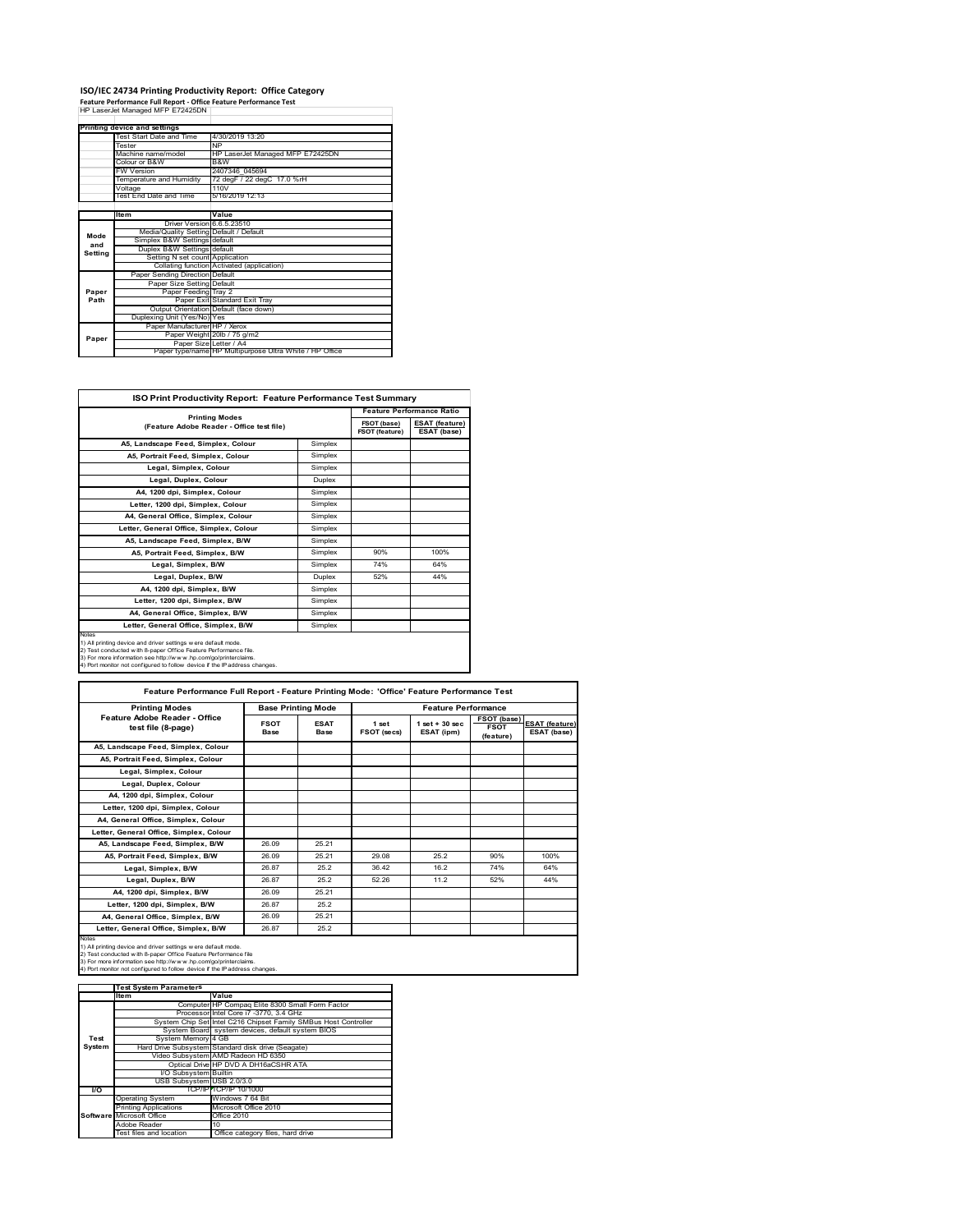# **ISO/IEC 24734 Printing Productivity Report: Office Category<br>Feature Performance Full Report - Office Feature Performance Test<br>HP LaserJet Managed MFP E72425DN |**

|         | Printing device and settings            |                                                         |
|---------|-----------------------------------------|---------------------------------------------------------|
|         | Test Start Date and Time                | 4/30/2019 13:20                                         |
|         | Tester                                  | <b>NP</b>                                               |
|         | Machine name/model                      | HP LaserJet Managed MFP E72425DN                        |
|         | Colour or B&W                           | B&W                                                     |
|         | <b>FW Version</b>                       | 2407346 045694                                          |
|         | Temperature and Humidity                | 72 degF / 22 degC 17.0 %rH                              |
|         | Voltage                                 | 110V                                                    |
|         | Test End Date and Time                  | 5/16/2019 12:13                                         |
|         |                                         |                                                         |
|         | Item                                    | Value                                                   |
|         | Driver Version 6.6.5.23510              |                                                         |
| Mode    | Media/Quality Setting Default / Default |                                                         |
| and     | Simplex B&W Settings default            |                                                         |
|         | Duplex B&W Settings default             |                                                         |
| Setting | Setting N set count Application         |                                                         |
|         |                                         | Collating function Activated (application)              |
|         | Paper Sending Direction Default         |                                                         |
|         | Paper Size Setting Default              |                                                         |
| Paper   | Paper Feeding Tray 2                    |                                                         |
| Path    |                                         | Paper Exit Standard Exit Tray                           |
|         |                                         | Output Orientation Default (face down)                  |
|         | Duplexing Unit (Yes/No) Yes             |                                                         |
|         | Paper Manufacturer HP / Xerox           |                                                         |
| Paper   |                                         | Paper Weight 20lb / 75 g/m2                             |
|         | Paper Size Letter / A4                  |                                                         |
|         |                                         | Paper type/name HP Multipurpose Ultra White / HP Office |

| ISO Print Productivity Report: Feature Performance Test Summary                                                                                                                                                                                                                             |               |                                      |                                      |  |  |  |
|---------------------------------------------------------------------------------------------------------------------------------------------------------------------------------------------------------------------------------------------------------------------------------------------|---------------|--------------------------------------|--------------------------------------|--|--|--|
| <b>Printing Modes</b><br>(Feature Adobe Reader - Office test file)                                                                                                                                                                                                                          |               | <b>Feature Performance Ratio</b>     |                                      |  |  |  |
|                                                                                                                                                                                                                                                                                             |               | FSOT (base)<br><b>FSOT (feature)</b> | <b>ESAT (feature)</b><br>ESAT (base) |  |  |  |
| A5, Landscape Feed, Simplex, Colour                                                                                                                                                                                                                                                         | Simplex       |                                      |                                      |  |  |  |
| A5, Portrait Feed, Simplex, Colour                                                                                                                                                                                                                                                          | Simplex       |                                      |                                      |  |  |  |
| Legal, Simplex, Colour                                                                                                                                                                                                                                                                      | Simplex       |                                      |                                      |  |  |  |
| Legal, Duplex, Colour                                                                                                                                                                                                                                                                       | <b>Duplex</b> |                                      |                                      |  |  |  |
| A4, 1200 dpi, Simplex, Colour                                                                                                                                                                                                                                                               | Simplex       |                                      |                                      |  |  |  |
| Letter, 1200 dpi. Simplex, Colour                                                                                                                                                                                                                                                           | Simplex       |                                      |                                      |  |  |  |
| A4, General Office, Simplex, Colour                                                                                                                                                                                                                                                         | Simplex       |                                      |                                      |  |  |  |
| Letter, General Office, Simplex, Colour                                                                                                                                                                                                                                                     | Simplex       |                                      |                                      |  |  |  |
| A5, Landscape Feed, Simplex, B/W                                                                                                                                                                                                                                                            | Simplex       |                                      |                                      |  |  |  |
| A5, Portrait Feed, Simplex, B/W                                                                                                                                                                                                                                                             | Simplex       | 90%                                  | 100%                                 |  |  |  |
| Legal, Simplex, B/W                                                                                                                                                                                                                                                                         | Simplex       | 74%                                  | 64%                                  |  |  |  |
| Legal, Duplex, B/W                                                                                                                                                                                                                                                                          | <b>Duplex</b> | 52%                                  | 44%                                  |  |  |  |
| A4, 1200 dpi, Simplex, B/W                                                                                                                                                                                                                                                                  | Simplex       |                                      |                                      |  |  |  |
| Letter, 1200 dpi, Simplex, B/W                                                                                                                                                                                                                                                              | Simplex       |                                      |                                      |  |  |  |
| A4. General Office. Simplex. B/W                                                                                                                                                                                                                                                            | Simplex       |                                      |                                      |  |  |  |
| Letter, General Office, Simplex, B/W                                                                                                                                                                                                                                                        | Simplex       |                                      |                                      |  |  |  |
| Notes<br>1) All printing device and driver settings w ere default mode.<br>2) Test conducted with 8-paper Office Feature Performance file.<br>3) For more information see http://www.hp.com/go/printerclaims.<br>4) Port monitor not configured to follow device if the IP address changes. |               |                                      |                                      |  |  |  |

| Feature Performance Full Report - Feature Printing Mode: 'Office' Feature Performance Test                                                                                                                                                                                                 |                     |                           |                      |                                  |                                                |                                      |  |
|--------------------------------------------------------------------------------------------------------------------------------------------------------------------------------------------------------------------------------------------------------------------------------------------|---------------------|---------------------------|----------------------|----------------------------------|------------------------------------------------|--------------------------------------|--|
| <b>Printing Modes</b>                                                                                                                                                                                                                                                                      |                     | <b>Base Printing Mode</b> |                      | <b>Feature Performance</b>       |                                                |                                      |  |
| Feature Adobe Reader - Office<br>test file (8-page)                                                                                                                                                                                                                                        | <b>FSOT</b><br>Base | <b>ESAT</b><br>Base       | 1 set<br>FSOT (secs) | $1$ set $+30$ sec.<br>ESAT (ipm) | <b>FSOT (base)</b><br><b>FSOT</b><br>(feature) | <b>ESAT (feature)</b><br>ESAT (base) |  |
| A5, Landscape Feed, Simplex, Colour                                                                                                                                                                                                                                                        |                     |                           |                      |                                  |                                                |                                      |  |
| A5. Portrait Feed. Simplex. Colour                                                                                                                                                                                                                                                         |                     |                           |                      |                                  |                                                |                                      |  |
| Legal, Simplex, Colour                                                                                                                                                                                                                                                                     |                     |                           |                      |                                  |                                                |                                      |  |
| Legal, Duplex, Colour                                                                                                                                                                                                                                                                      |                     |                           |                      |                                  |                                                |                                      |  |
| A4, 1200 dpi, Simplex, Colour                                                                                                                                                                                                                                                              |                     |                           |                      |                                  |                                                |                                      |  |
| Letter, 1200 dpi, Simplex, Colour                                                                                                                                                                                                                                                          |                     |                           |                      |                                  |                                                |                                      |  |
| A4, General Office, Simplex, Colour                                                                                                                                                                                                                                                        |                     |                           |                      |                                  |                                                |                                      |  |
| Letter, General Office, Simplex, Colour                                                                                                                                                                                                                                                    |                     |                           |                      |                                  |                                                |                                      |  |
| A5, Landscape Feed, Simplex, B/W                                                                                                                                                                                                                                                           | 26.09               | 25.21                     |                      |                                  |                                                |                                      |  |
| A5, Portrait Feed, Simplex, B/W                                                                                                                                                                                                                                                            | 26.09               | 25 21                     | 29.08                | 25.2                             | 90%                                            | 100%                                 |  |
| Legal, Simplex, B/W                                                                                                                                                                                                                                                                        | 26.87               | 25.2                      | 36 42                | 16.2                             | 74%                                            | 64%                                  |  |
| Legal, Duplex, B/W                                                                                                                                                                                                                                                                         | 26.87               | 25.2                      | 52.26                | 11.2                             | 52%                                            | 44%                                  |  |
| A4, 1200 dpi, Simplex, B/W                                                                                                                                                                                                                                                                 | 26.09               | 25.21                     |                      |                                  |                                                |                                      |  |
| Letter, 1200 dpi, Simplex, B/W                                                                                                                                                                                                                                                             | 26.87               | 25.2                      |                      |                                  |                                                |                                      |  |
| A4. General Office. Simplex. B/W                                                                                                                                                                                                                                                           | 26.09               | 25.21                     |                      |                                  |                                                |                                      |  |
| Letter, General Office, Simplex, B/W                                                                                                                                                                                                                                                       | 26.87               | 25.2                      |                      |                                  |                                                |                                      |  |
| Notes<br>1) All printing device and driver settings w ere default mode.<br>2) Test conducted with 8-paper Office Feature Performance file<br>3) For more information see http://www.hp.com/go/printerclaims.<br>4) Port monitor not configured to follow device if the IP address changes. |                     |                           |                      |                                  |                                                |                                      |  |

|           | <b>Test System Parameters</b> |                                                                 |
|-----------|-------------------------------|-----------------------------------------------------------------|
|           | lte m                         | Value                                                           |
|           |                               | Computer HP Compaq Elite 8300 Small Form Factor                 |
|           |                               | Processor Intel Core i7 -3770, 3.4 GHz                          |
|           |                               | System Chip Set Intel C216 Chipset Family SMBus Host Controller |
|           |                               | System Board system devices, default system BIOS                |
| Test      | System Memory 4 GB            |                                                                 |
| System    |                               | Hard Drive Subsystem Standard disk drive (Seagate)              |
|           |                               | Video Subsystem AMD Radeon HD 6350                              |
|           |                               | Optical Drive HP DVD A DH16aCSHR ATA                            |
|           | I/O Subsystem Builtin         |                                                                 |
|           | USB Subsystem USB 2.0/3.0     |                                                                 |
| <b>VO</b> |                               | TCP/IPITCP/IP 10/1000                                           |
|           | <b>Operating System</b>       | Windows 7 64 Bit                                                |
|           | <b>Printing Applications</b>  | Microsoft Office 2010                                           |
|           | Software Microsoft Office     | Office 2010                                                     |
|           | Adobe Reader                  | 10                                                              |
|           | Test files and location       | Office category files, hard drive                               |
|           |                               |                                                                 |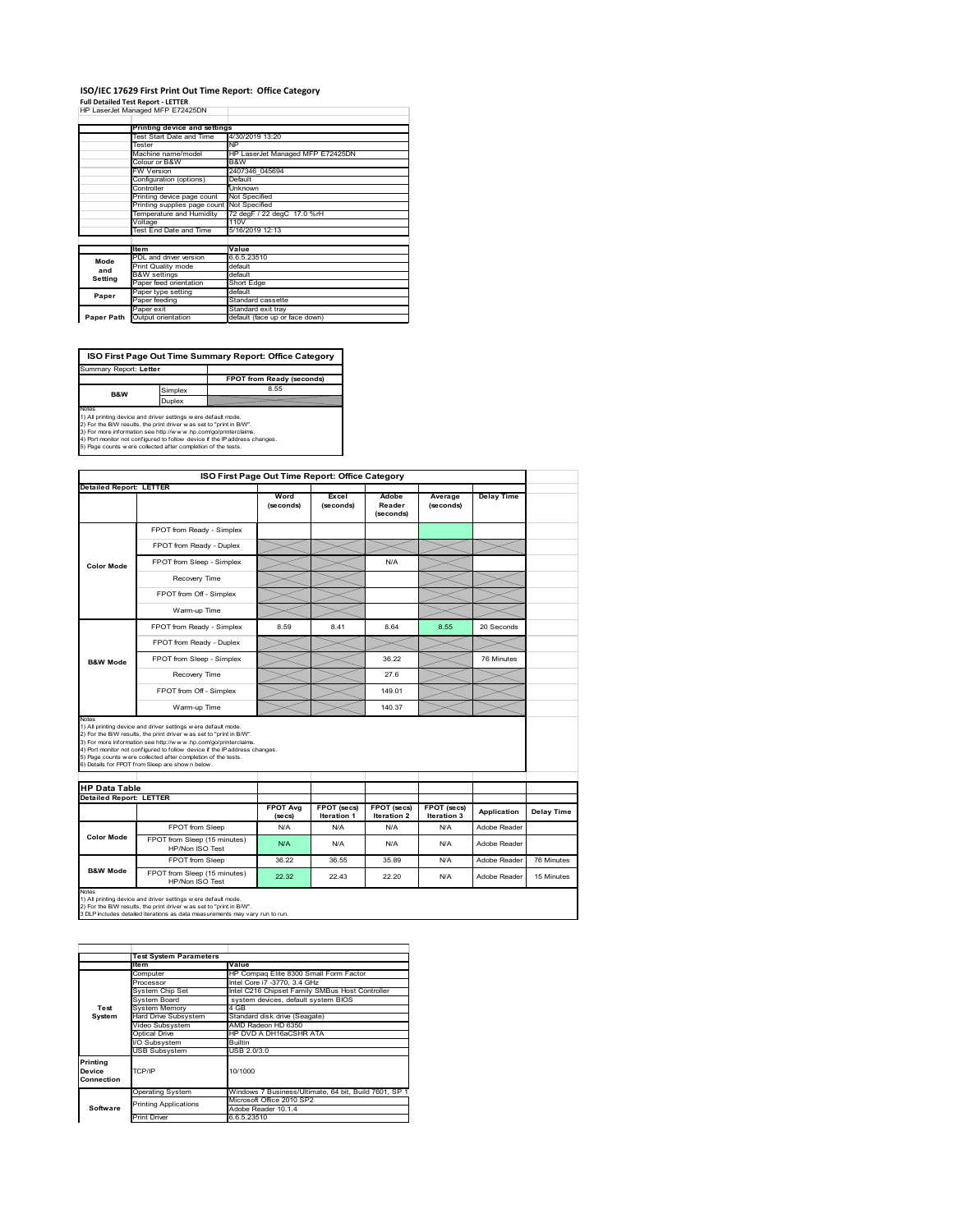#### **ISO/IEC 17629 First Print Out Time Report: Office Category Full Detailed Test Report ‐ LETTER** HP LaserJet Managed MFP E72425DN  $\overline{\phantom{a}}$

|            | $$ cappings, managed $$ $$ created.        |                                  |
|------------|--------------------------------------------|----------------------------------|
|            | Printing device and settings               |                                  |
|            | Test Start Date and Time                   | 4/30/2019 13:20                  |
|            | Tester                                     | NP                               |
|            | Machine name/model                         | HP LaserJet Managed MFP E72425DN |
|            | Colour or B&W                              | B&W                              |
|            | <b>FW Version</b>                          | 2407346 045694                   |
|            | Configuration (options)                    | Default                          |
|            | Controller                                 | Unknown                          |
|            | Printing device page count                 | Not Specified                    |
|            | Printing supplies page count Not Specified |                                  |
|            | Temperature and Humidity                   | 72 degF / 22 degC 17.0 %rH       |
|            | Voltage                                    | 110V                             |
|            | Test End Date and Time                     | 5/16/2019 12:13                  |
|            |                                            |                                  |
|            | <b>Item</b>                                | Value                            |
| Mode       | PDL and driver version                     | 6.6.5.23510                      |
| and        | Print Quality mode                         | default                          |
| Setting    | <b>B&amp;W</b> settings                    | default                          |
|            | Paper feed orientation                     | Short Edge                       |
| Paper      | Paper type setting                         | default                          |
|            | Paper feeding                              | Standard cassette                |
|            | Paper exit                                 | Standard exit tray               |
| Paper Path | Output orientation                         | default (face up or face down)   |

**FPOT from Ready (seconds)**<br>Simplex 8.55 **ISO First Page Out Time Summary Report: Office Category** Summary Report: **Letter B&W**

**Duplex**<br>Notes<br>1) All printing device and driver settings were default mode.<br>2) For the BM results, the print driver was set to "print in BM".<br>4) For more information see http://www.hp.com/golprinterclaims.<br>4) Port monitor

|                                                                 |                                                                                                                                                                                                                                                                                                                                                                                                              | ISO First Page Out Time Report: Office Category |                    |                              |                      |                   |            |
|-----------------------------------------------------------------|--------------------------------------------------------------------------------------------------------------------------------------------------------------------------------------------------------------------------------------------------------------------------------------------------------------------------------------------------------------------------------------------------------------|-------------------------------------------------|--------------------|------------------------------|----------------------|-------------------|------------|
| <b>Detailed Report: LETTER</b>                                  |                                                                                                                                                                                                                                                                                                                                                                                                              | Word<br>(seconds)                               | Excel<br>(seconds) | Adobe<br>Reader<br>(seconds) | Average<br>(seconds) | <b>Delay Time</b> |            |
|                                                                 | FPOT from Ready - Simplex                                                                                                                                                                                                                                                                                                                                                                                    |                                                 |                    |                              |                      |                   |            |
|                                                                 | FPOT from Ready - Duplex                                                                                                                                                                                                                                                                                                                                                                                     |                                                 |                    |                              |                      |                   |            |
| <b>Color Mode</b>                                               | FPOT from Sleep - Simplex                                                                                                                                                                                                                                                                                                                                                                                    |                                                 |                    | N/A                          |                      |                   |            |
|                                                                 | Recovery Time                                                                                                                                                                                                                                                                                                                                                                                                |                                                 |                    |                              |                      |                   |            |
|                                                                 | FPOT from Off - Simplex                                                                                                                                                                                                                                                                                                                                                                                      |                                                 |                    |                              |                      |                   |            |
|                                                                 | Warm-up Time                                                                                                                                                                                                                                                                                                                                                                                                 |                                                 |                    |                              |                      |                   |            |
|                                                                 | FPOT from Ready - Simplex                                                                                                                                                                                                                                                                                                                                                                                    | 8.59                                            | 8.41               | 8.64                         | 8.55                 | 20 Seconds        |            |
|                                                                 | FPOT from Ready - Duplex                                                                                                                                                                                                                                                                                                                                                                                     |                                                 |                    |                              |                      |                   |            |
| <b>B&amp;W Mode</b>                                             | FPOT from Sleep - Simplex                                                                                                                                                                                                                                                                                                                                                                                    |                                                 |                    | 36.22                        |                      | 76 Minutes        |            |
|                                                                 | Recovery Time                                                                                                                                                                                                                                                                                                                                                                                                |                                                 |                    | 27.6                         |                      |                   |            |
|                                                                 |                                                                                                                                                                                                                                                                                                                                                                                                              |                                                 |                    |                              |                      |                   |            |
|                                                                 | FPOT from Off - Simplex                                                                                                                                                                                                                                                                                                                                                                                      |                                                 |                    | 149.01                       |                      |                   |            |
|                                                                 | Warm-up Time                                                                                                                                                                                                                                                                                                                                                                                                 |                                                 |                    | 140.37                       |                      |                   |            |
| Notes<br><b>HP Data Table</b><br><b>Detailed Report: LETTER</b> | 1) All printing device and driver settings w ere default mode.<br>2) For the B/W results, the print driver w as set to "print in B/W".<br>3) For more information see http://www.hp.com/go/printerclaims.<br>4) Port monitor not configured to follow device if the IP address changes.<br>5) Page counts w ere collected after completion of the tests.<br>6) Details for FPOT from Sleep are show n below. | <b>FPOT Avg</b>                                 | FPOT (secs)        | FPOT (secs)                  | FPOT (secs)          | Application       | Delay Time |
|                                                                 | FPOT from Sleep                                                                                                                                                                                                                                                                                                                                                                                              | (se cs)<br>N/A                                  | Iteration 1<br>N/A | Iteration 2<br>N/A           | Iteration 3<br>N/A   | Adobe Reader      |            |
| <b>Color Mode</b>                                               | FPOT from Sleep (15 minutes)<br>HP/Non ISO Test                                                                                                                                                                                                                                                                                                                                                              | N/A                                             | N/A                | N/A                          | N/A                  | Adobe Reader      |            |
| <b>B&amp;W Mode</b>                                             | FPOT from Sleep                                                                                                                                                                                                                                                                                                                                                                                              | 36.22                                           | 36.55              | 35.89                        | N/A                  | Adobe Reader      | 76 Minutes |

|                                  | <b>Test System Parameters</b> |                                                       |
|----------------------------------|-------------------------------|-------------------------------------------------------|
|                                  | Ite <sub>m</sub>              | Value                                                 |
|                                  | Computer                      | HP Compag Elite 8300 Small Form Factor                |
|                                  | Processor                     | Intel Core i7 -3770, 3.4 GHz                          |
|                                  | System Chip Set               | Intel C216 Chipset Family SMBus Host Controller       |
|                                  | System Board                  | system devices, default system BIOS                   |
| Test                             | <b>System Memory</b>          | 4 GB                                                  |
| System                           | Hard Drive Subsystem          | Standard disk drive (Seagate)                         |
|                                  | Video Subsystem               | AMD Radeon HD 6350                                    |
|                                  | <b>Optical Drive</b>          | HP DVD A DH16aCSHR ATA                                |
|                                  | I/O Subsystem                 | <b>Builtin</b>                                        |
|                                  | <b>USB Subsystem</b>          | USB 2.0/3.0                                           |
| Printing<br>Device<br>Connection | TCP/IP                        | 10/1000                                               |
|                                  | <b>Operating System</b>       | Windows 7 Business/Ultimate, 64 bit, Build 7601, SP 1 |
|                                  | <b>Printing Applications</b>  | Microsoft Office 2010 SP2                             |
| Software                         |                               | Adobe Reader 10.1.4                                   |
|                                  | <b>Print Driver</b>           | 6.6.5.23510                                           |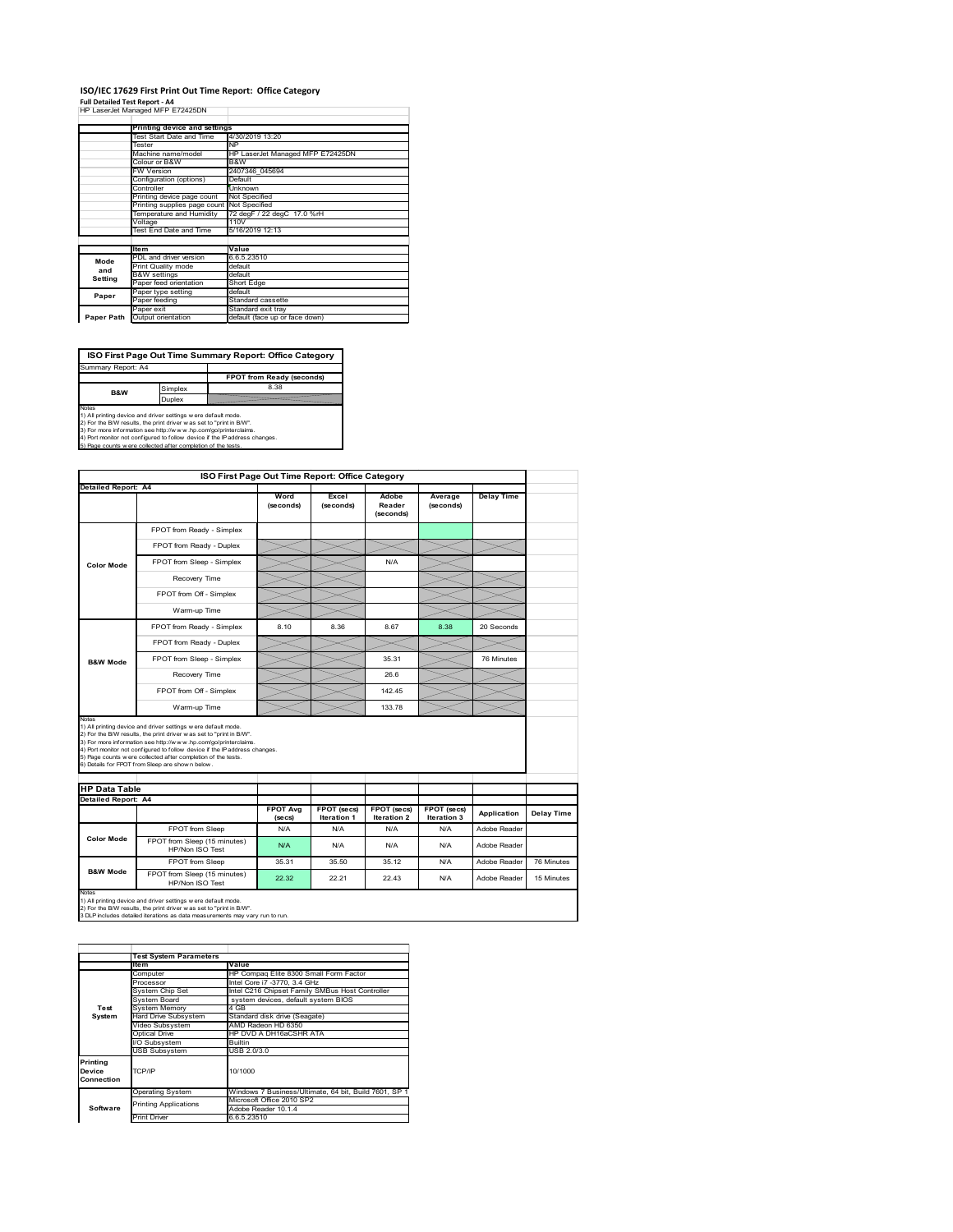# **ISO/IEC 17629 First Print Out Time Report: Office Category**

| Full Detailed Test Report - A4   |  |
|----------------------------------|--|
| HP LaserJet Managed MFP E72425DN |  |

|            | Printing device and settings |                                  |  |  |  |
|------------|------------------------------|----------------------------------|--|--|--|
|            | Test Start Date and Time     | 4/30/2019 13:20                  |  |  |  |
|            | Tester                       | <b>NP</b>                        |  |  |  |
|            | Machine name/model           | HP LaserJet Managed MFP E72425DN |  |  |  |
|            | Colour or B&W                | B&W                              |  |  |  |
|            | FW Version                   | 2407346 045694                   |  |  |  |
|            | Configuration (options)      | Default                          |  |  |  |
|            | Controller                   | Unknown                          |  |  |  |
|            | Printing device page count   | Not Specified                    |  |  |  |
|            | Printing supplies page count | Not Specified                    |  |  |  |
|            | Temperature and Humidity     | 72 degF / 22 degC 17.0 %rH       |  |  |  |
|            | Voltage                      | 110V                             |  |  |  |
|            | Test End Date and Time       | 5/16/2019 12:13                  |  |  |  |
|            |                              |                                  |  |  |  |
|            | <b>Item</b>                  | Value                            |  |  |  |
| Mode       | PDL and driver version       | 6.6.5.23510                      |  |  |  |
| and        | Print Quality mode           | default                          |  |  |  |
| Setting    | <b>B&amp;W</b> settings      | default                          |  |  |  |
|            | Paper feed orientation       | Short Edge                       |  |  |  |
| Paper      | Paper type setting           | default                          |  |  |  |
|            | Paper feeding                | Standard cassette                |  |  |  |
|            | Paper exit                   | Standard exit tray               |  |  |  |
| Paper Path | Output orientation           | default (face up or face down)   |  |  |  |

**ISO First Page Out Time Summary Report: Office Category**

**FPOT from Ready (seconds)** Simplex 8.38 Duplex Notes<br>1) All printing device and driver settings were default mode.<br>2) For the BAV results, the print driver was set to "print in BAV".<br>3) For more information see http://www.hp.com/golprinterclaims.<br>4) Port monitor not co Summary Report: A4 **B&W**

|                            |                                                                                                                                                                                                                                                                                                                                                                                                              |                            | ISO First Page Out Time Report: Office Category |                                   |                            |                   |            |
|----------------------------|--------------------------------------------------------------------------------------------------------------------------------------------------------------------------------------------------------------------------------------------------------------------------------------------------------------------------------------------------------------------------------------------------------------|----------------------------|-------------------------------------------------|-----------------------------------|----------------------------|-------------------|------------|
| Detailed Report: A4        |                                                                                                                                                                                                                                                                                                                                                                                                              |                            |                                                 |                                   |                            |                   |            |
|                            |                                                                                                                                                                                                                                                                                                                                                                                                              | Word<br>(seconds)          | Excel<br>(seconds)                              | Adobe<br>Reader<br>(seconds)      | Average<br>(seconds)       | <b>Delay Time</b> |            |
|                            | FPOT from Ready - Simplex                                                                                                                                                                                                                                                                                                                                                                                    |                            |                                                 |                                   |                            |                   |            |
| <b>Color Mode</b>          | FPOT from Ready - Duplex                                                                                                                                                                                                                                                                                                                                                                                     |                            |                                                 |                                   |                            |                   |            |
|                            | FPOT from Sleep - Simplex                                                                                                                                                                                                                                                                                                                                                                                    |                            |                                                 | N/A                               |                            |                   |            |
|                            | Recovery Time                                                                                                                                                                                                                                                                                                                                                                                                |                            |                                                 |                                   |                            |                   |            |
|                            | FPOT from Off - Simplex                                                                                                                                                                                                                                                                                                                                                                                      |                            |                                                 |                                   |                            |                   |            |
|                            | Warm-up Time                                                                                                                                                                                                                                                                                                                                                                                                 |                            |                                                 |                                   |                            |                   |            |
|                            | FPOT from Ready - Simplex                                                                                                                                                                                                                                                                                                                                                                                    | 8.10                       | 8.36                                            | 8.67                              | 8.38                       | 20 Seconds        |            |
|                            | FPOT from Ready - Duplex                                                                                                                                                                                                                                                                                                                                                                                     |                            |                                                 |                                   |                            |                   |            |
| <b>B&amp;W Mode</b>        | FPOT from Sleep - Simplex                                                                                                                                                                                                                                                                                                                                                                                    |                            |                                                 | 35.31                             |                            | 76 Minutes        |            |
|                            | Recovery Time                                                                                                                                                                                                                                                                                                                                                                                                |                            |                                                 | 26.6                              |                            |                   |            |
|                            |                                                                                                                                                                                                                                                                                                                                                                                                              |                            |                                                 |                                   |                            |                   |            |
|                            | FPOT from Off - Simplex                                                                                                                                                                                                                                                                                                                                                                                      |                            |                                                 | 142.45                            |                            |                   |            |
| Notes                      | Warm-up Time                                                                                                                                                                                                                                                                                                                                                                                                 |                            |                                                 | 133.78                            |                            |                   |            |
| <b>HP Data Table</b>       | 1) All printing device and driver settings w ere default mode.<br>2) For the B/W results, the print driver w as set to "print in B/W".<br>3) For more information see http://www.hp.com/go/printerclaims.<br>4) Port monitor not configured to follow device if the IP address changes.<br>5) Page counts w ere collected after completion of the tests.<br>6) Details for FPOT from Sleep are show n below. |                            |                                                 |                                   |                            |                   |            |
| <b>Detailed Report: A4</b> |                                                                                                                                                                                                                                                                                                                                                                                                              |                            |                                                 |                                   |                            |                   |            |
|                            |                                                                                                                                                                                                                                                                                                                                                                                                              | <b>FPOT Ava</b><br>(se cs) | FPOT (secs)<br><b>Iteration 1</b>               | FPOT (secs)<br><b>Iteration 2</b> | FPOT (secs)<br>Iteration 3 | Application       |            |
|                            | FPOT from Sleep                                                                                                                                                                                                                                                                                                                                                                                              | N/A                        | N/A                                             | N/A                               | N/A                        | Adobe Reader      |            |
| <b>Color Mode</b>          | FPOT from Sleep (15 minutes)<br>HP/Non ISO Test                                                                                                                                                                                                                                                                                                                                                              | N/A                        | N/A                                             | N/A                               | N/A                        | Adobe Reader      | Delay Time |
| <b>B&amp;W Mode</b>        | FPOT from Sleep                                                                                                                                                                                                                                                                                                                                                                                              | 35.31                      | 35.50                                           | 35.12                             | N/A                        | Adobe Reader      | 76 Minutes |

1) All printing device and driver settings w ere default mode.<br>2) For the B/W results, the print driver w as set to "print in B/W".<br>3 DLP includes detailed iterations as data measurements may vary run to run.

|            | <b>Test System Parameters</b> |                                                       |
|------------|-------------------------------|-------------------------------------------------------|
|            | <b>Item</b>                   | Value                                                 |
|            | Computer                      | HP Compag Elite 8300 Small Form Factor                |
|            | Processor                     | Intel Core i7 -3770, 3.4 GHz                          |
|            | System Chip Set               | Intel C216 Chipset Family SMBus Host Controller       |
|            | System Board                  | system devices, default system BIOS                   |
| Test       | <b>System Memory</b>          | 4 GB                                                  |
| System     | Hard Drive Subsystem          | Standard disk drive (Seagate)                         |
|            | Video Subsystem               | AMD Radeon HD 6350                                    |
|            | Optical Drive                 | HP DVD A DH16aCSHR ATA                                |
|            | VO Subsystem                  | <b>Builtin</b>                                        |
|            | <b>USB Subsystem</b>          | USB 2.0/3.0                                           |
| Printing   |                               |                                                       |
| Device     | TCP/IP                        | 10/1000                                               |
| Connection |                               |                                                       |
|            |                               | Windows 7 Business/Ultimate, 64 bit, Build 7601, SP 1 |
|            | <b>Operating System</b>       |                                                       |
|            | <b>Printing Applications</b>  | Microsoft Office 2010 SP2                             |
| Software   |                               | Adobe Reader 10.1.4                                   |
|            | <b>Print Driver</b>           | 6.6.5.23510                                           |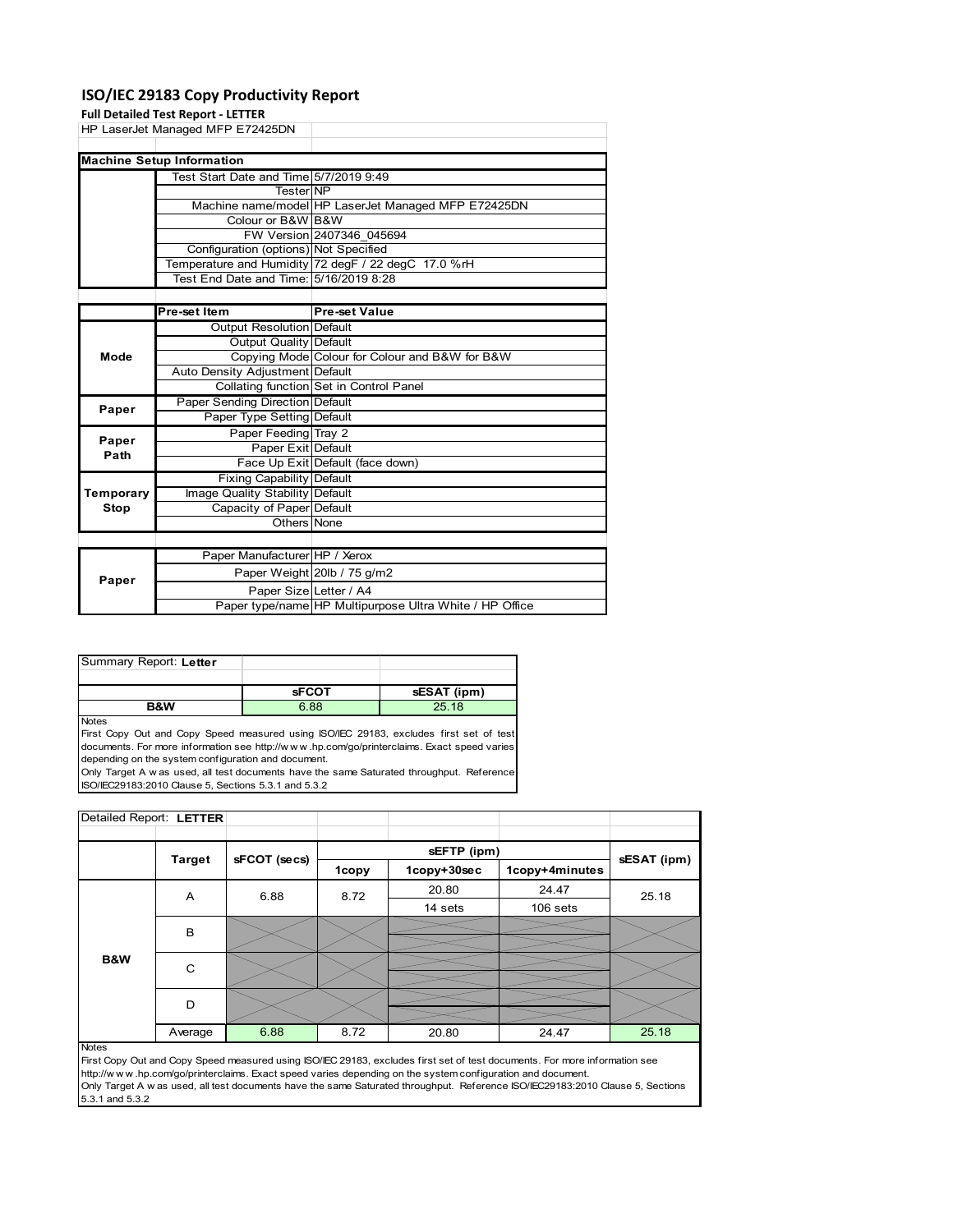#### **ISO/IEC 29183 Copy Productivity Report**

|             | <b>Full Detailed Test Report - LETTER</b> |                                                     |
|-------------|-------------------------------------------|-----------------------------------------------------|
|             | HP LaserJet Managed MFP E72425DN          |                                                     |
|             |                                           |                                                     |
|             | <b>Machine Setup Information</b>          |                                                     |
|             | Test Start Date and Time 5/7/2019 9:49    |                                                     |
|             | <b>Tester</b> NP                          |                                                     |
|             |                                           | Machine name/model HP LaserJet Managed MFP E72425DN |
|             | Colour or B&W B&W                         |                                                     |
|             |                                           | FW Version 2407346 045694                           |
|             | Configuration (options) Not Specified     |                                                     |
|             |                                           | Temperature and Humidity 72 degF / 22 degC 17.0 %rH |
|             | Test End Date and Time: 5/16/2019 8:28    |                                                     |
|             |                                           |                                                     |
|             | Pre-set Item                              | <b>Pre-set Value</b>                                |
|             | Output Resolution Default                 |                                                     |
|             | Output Quality Default                    |                                                     |
| Mode        |                                           | Copying Mode Colour for Colour and B&W for B&W      |
|             | Auto Density Adjustment Default           |                                                     |
|             |                                           | Collating function Set in Control Panel             |
| Paper       | Paper Sending Direction Default           |                                                     |
|             | Paper Type Setting Default                |                                                     |
| Paper       | Paper Feeding Tray 2                      |                                                     |
| Path        | Paper Exit Default                        |                                                     |
|             |                                           | Face Up Exit Default (face down)                    |
|             | <b>Fixing Capability Default</b>          |                                                     |
| Temporary   | Image Quality Stability Default           |                                                     |
| <b>Stop</b> | Capacity of Paper Default                 |                                                     |
|             | Others None                               |                                                     |
|             |                                           |                                                     |
|             | Paper Manufacturer HP / Xerox             |                                                     |
| Paper       |                                           | Paper Weight 20lb / 75 g/m2                         |
|             | Paper Size Letter / A4                    |                                                     |

| Summary Report: Letter |              |             |
|------------------------|--------------|-------------|
|                        |              |             |
|                        | <b>sFCOT</b> | sESAT (ipm) |
|                        |              |             |

**Notes** 

First Copy Out and Copy Speed measured using ISO/IEC 29183, excludes first set of test documents. For more information see http://w w w .hp.com/go/printerclaims. Exact speed varies depending on the system configuration and document.

Only Target A w as used, all test documents have the same Saturated throughput. Reference ISO/IEC29183:2010 Clause 5, Sections 5.3.1 and 5.3.2

| Detailed Report: LETTER |               |              |         |             |                |             |
|-------------------------|---------------|--------------|---------|-------------|----------------|-------------|
|                         |               |              |         |             |                |             |
|                         | <b>Target</b> | sFCOT (secs) |         | sEFTP (ipm) |                | sESAT (ipm) |
|                         |               |              | 1copy   | 1copy+30sec | 1copy+4minutes |             |
|                         | 6.88<br>A     | 8.72         | 20.80   | 24.47       | 25.18          |             |
|                         |               |              | 14 sets | 106 sets    |                |             |
|                         | B             |              |         |             |                |             |
|                         |               |              |         |             |                |             |
| <b>B&amp;W</b>          | C             |              |         |             |                |             |
|                         |               |              |         |             |                |             |
|                         | D             |              |         |             |                |             |
|                         |               |              |         |             |                |             |
|                         | Average       | 6.88         | 8.72    | 20.80       | 24.47          | 25.18       |

Paper type/name HP Multipurpose Ultra White / HP Office

Notes

First Copy Out and Copy Speed measured using ISO/IEC 29183, excludes first set of test documents. For more information see http://w w w .hp.com/go/printerclaims. Exact speed varies depending on the system configuration and document. Only Target A w as used, all test documents have the same Saturated throughput. Reference ISO/IEC29183:2010 Clause 5, Sections 5.3.1 and 5.3.2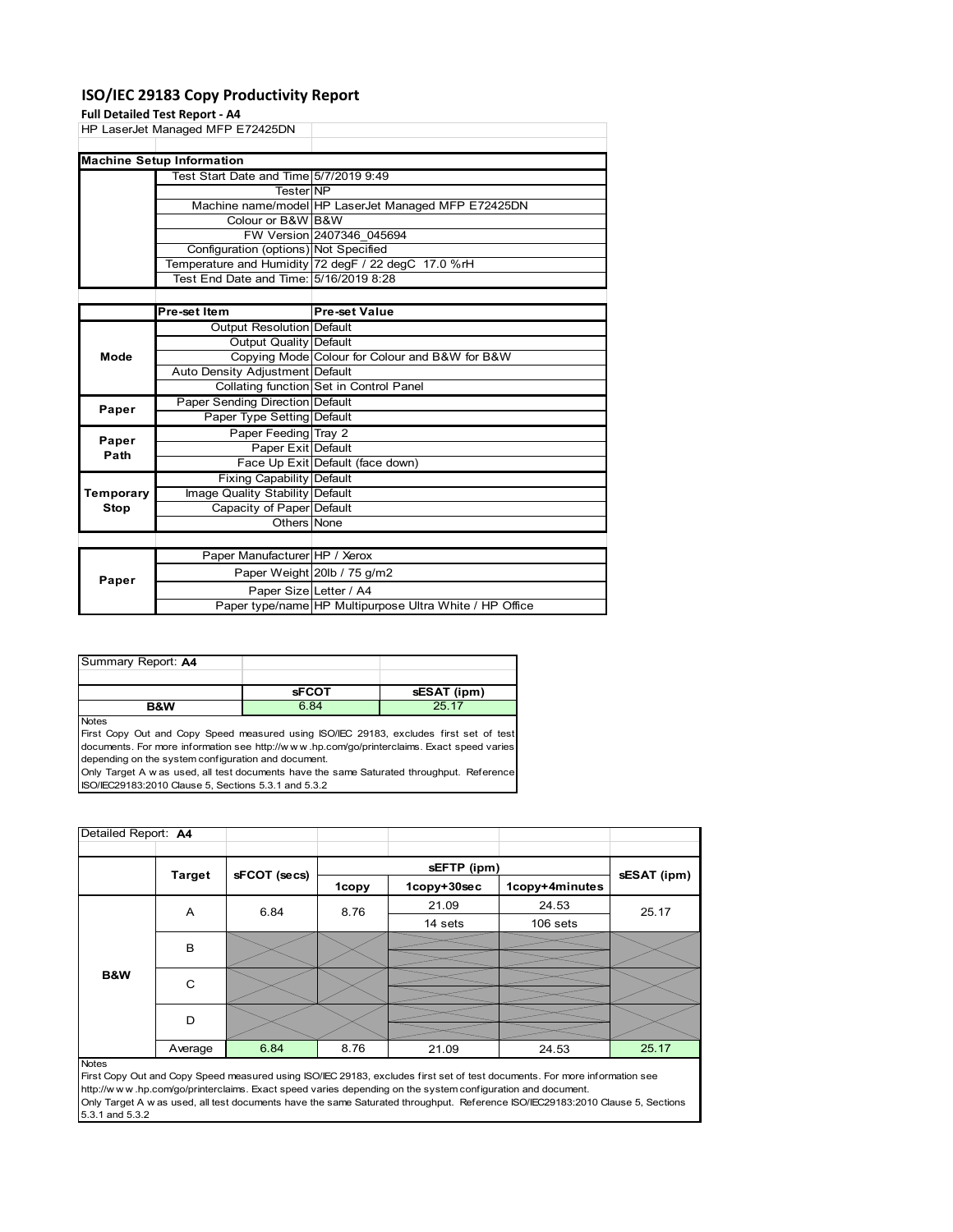#### **ISO/IEC 29183 Copy Productivity Report**

### **Full Detailed Test R**

|                   | Full Detailed Test Report - A4         |                                                     |  |  |
|-------------------|----------------------------------------|-----------------------------------------------------|--|--|
|                   | HP LaserJet Managed MFP E72425DN       |                                                     |  |  |
|                   |                                        |                                                     |  |  |
|                   | <b>Machine Setup Information</b>       |                                                     |  |  |
|                   | Test Start Date and Time 5/7/2019 9:49 |                                                     |  |  |
|                   | <b>TesterINP</b>                       |                                                     |  |  |
|                   |                                        | Machine name/model HP LaserJet Managed MFP E72425DN |  |  |
| Colour or B&W B&W |                                        |                                                     |  |  |
|                   |                                        | FW Version 2407346 045694                           |  |  |
|                   | Configuration (options) Not Specified  |                                                     |  |  |
|                   |                                        | Temperature and Humidity 72 degF / 22 degC 17.0 %rH |  |  |
|                   | Test End Date and Time: 5/16/2019 8:28 |                                                     |  |  |
|                   |                                        |                                                     |  |  |
|                   | Pre-set Item                           | <b>Pre-set Value</b>                                |  |  |
|                   | Output Resolution Default              |                                                     |  |  |
|                   | Output Quality Default                 |                                                     |  |  |
| Mode              |                                        | Copying Mode Colour for Colour and B&W for B&W      |  |  |
|                   | Auto Density Adjustment Default        |                                                     |  |  |
|                   |                                        | Collating function Set in Control Panel             |  |  |
| Paper             | Paper Sending Direction Default        |                                                     |  |  |
|                   | Paper Type Setting Default             |                                                     |  |  |
| Paper             | Paper Feeding Tray 2                   |                                                     |  |  |
| Path              | Paper Exit Default                     |                                                     |  |  |
|                   |                                        | Face Up Exit Default (face down)                    |  |  |
|                   | Fixing Capability Default              |                                                     |  |  |
| Temporary         | Image Quality Stability Default        |                                                     |  |  |
| Stop              | Capacity of Paper Default              |                                                     |  |  |
|                   | Others None                            |                                                     |  |  |
|                   |                                        |                                                     |  |  |
|                   | Paper Manufacturer HP / Xerox          |                                                     |  |  |
| Paper             |                                        | Paper Weight 20lb / 75 g/m2                         |  |  |
|                   | Paper Size Letter / A4                 |                                                     |  |  |

| Summary Report: A4 |              |             |
|--------------------|--------------|-------------|
|                    |              |             |
|                    | <b>sFCOT</b> | sESAT (ipm) |
|                    |              |             |

Notes

First Copy Out and Copy Speed measured using ISO/IEC 29183, excludes first set of test documents. For more information see http://w w w .hp.com/go/printerclaims. Exact speed varies depending on the system configuration and document.

Only Target A w as used, all test documents have the same Saturated throughput. Reference ISO/IEC29183:2010 Clause 5, Sections 5.3.1 and 5.3.2

| Detailed Report: A4 |               |              |       |                            |                |             |
|---------------------|---------------|--------------|-------|----------------------------|----------------|-------------|
|                     |               |              |       |                            |                |             |
|                     | <b>Target</b> | sFCOT (secs) | 1copy | sEFTP (ipm)<br>1copy+30sec | 1copy+4minutes | sESAT (ipm) |
|                     | A             | 6.84         | 8.76  | 21.09                      | 24.53          | 25.17       |
|                     |               |              |       | 14 sets                    | 106 sets       |             |
|                     | B             |              |       |                            |                |             |
| B&W                 | C             |              |       |                            |                |             |
|                     | D             |              |       |                            |                |             |
|                     | Average       | 6.84         | 8.76  | 21.09                      | 24.53          | 25.17       |
| <b>Notes</b>        |               |              |       |                            |                |             |

Paper type/name HP Multipurpose Ultra White / HP Office

First Copy Out and Copy Speed measured using ISO/IEC 29183, excludes first set of test documents. For more information see http://w w w .hp.com/go/printerclaims. Exact speed varies depending on the system configuration and document. Only Target A w as used, all test documents have the same Saturated throughput. Reference ISO/IEC29183:2010 Clause 5, Sections 5.3.1 and 5.3.2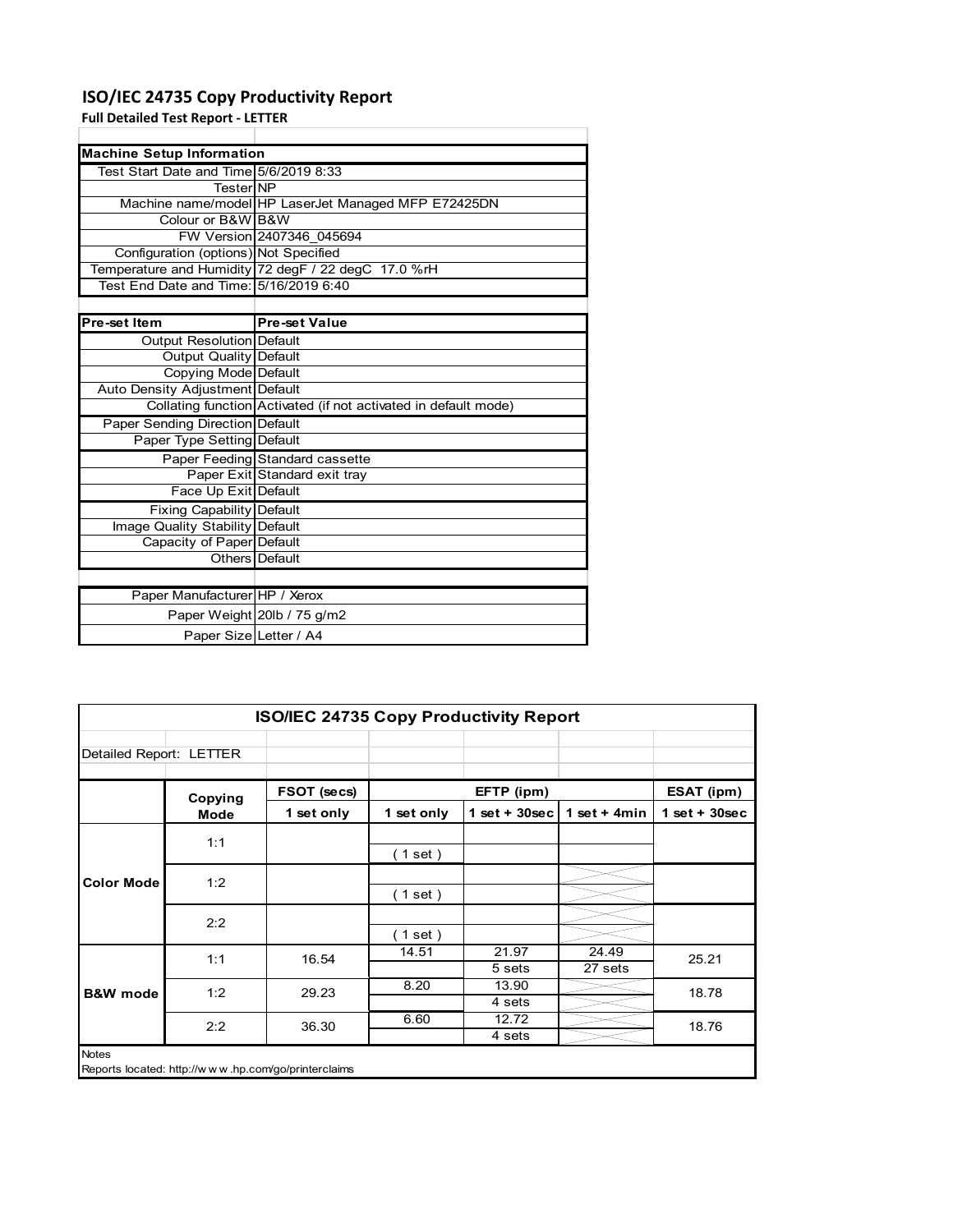### **ISO/IEC 24735 Copy Productivity Report**

**Full Detailed Test Report ‐ LETTER**

| <b>Machine Setup Information</b>       |                                                                 |  |  |  |
|----------------------------------------|-----------------------------------------------------------------|--|--|--|
| Test Start Date and Time 5/6/2019 8:33 |                                                                 |  |  |  |
| TesterINP                              |                                                                 |  |  |  |
|                                        | Machine name/model HP LaserJet Managed MFP E72425DN             |  |  |  |
| Colour or B&W B&W                      |                                                                 |  |  |  |
|                                        | FW Version 2407346 045694                                       |  |  |  |
| Configuration (options) Not Specified  |                                                                 |  |  |  |
|                                        | Temperature and Humidity 72 degF / 22 degC 17.0 %rH             |  |  |  |
| Test End Date and Time: 5/16/2019 6:40 |                                                                 |  |  |  |
|                                        |                                                                 |  |  |  |
| Pre-set Item                           | <b>Pre-set Value</b>                                            |  |  |  |
| Output Resolution Default              |                                                                 |  |  |  |
| Output Quality Default                 |                                                                 |  |  |  |
| Copying Mode Default                   |                                                                 |  |  |  |
| Auto Density Adjustment Default        |                                                                 |  |  |  |
|                                        | Collating function Activated (if not activated in default mode) |  |  |  |
| Paper Sending Direction Default        |                                                                 |  |  |  |
| Paper Type Setting Default             |                                                                 |  |  |  |
|                                        | Paper Feeding Standard cassette                                 |  |  |  |
|                                        | Paper Exit Standard exit tray                                   |  |  |  |
| Face Up Exit Default                   |                                                                 |  |  |  |
| <b>Fixing Capability Default</b>       |                                                                 |  |  |  |
| Image Quality Stability Default        |                                                                 |  |  |  |
| Capacity of Paper Default              |                                                                 |  |  |  |
|                                        | Others Default                                                  |  |  |  |
|                                        |                                                                 |  |  |  |
| Paper Manufacturer HP / Xerox          |                                                                 |  |  |  |
|                                        | Paper Weight 20lb / 75 g/m2                                     |  |  |  |
| Paper Size Letter / A4                 |                                                                 |  |  |  |

|                         | ISO/IEC 24735 Copy Productivity Report              |             |            |                  |                  |                 |
|-------------------------|-----------------------------------------------------|-------------|------------|------------------|------------------|-----------------|
| Detailed Report: LETTER |                                                     |             |            |                  |                  |                 |
|                         | Copying                                             | FSOT (secs) |            | EFTP (ipm)       |                  | ESAT (ipm)      |
|                         | Mode                                                | 1 set only  | 1 set only | 1 set + $30$ sec | 1 set + $4min$   | $1$ set + 30sec |
|                         | 1:1                                                 |             | (1 set )   |                  |                  |                 |
| <b>Color Mode</b>       | 1:2                                                 |             | (1 set )   |                  |                  |                 |
|                         | 2:2                                                 |             | (1 set)    |                  |                  |                 |
|                         | 1:1                                                 | 16.54       | 14.51      | 21.97<br>5 sets  | 24.49<br>27 sets | 25.21           |
| <b>B&amp;W</b> mode     | 1:2                                                 | 29.23       | 8.20       | 13.90<br>4 sets  |                  | 18.78           |
|                         | 2:2                                                 | 36.30       | 6.60       | 12.72<br>4 sets  |                  | 18.76           |
| <b>Notes</b>            | Reports located: http://www.hp.com/go/printerclaims |             |            |                  |                  |                 |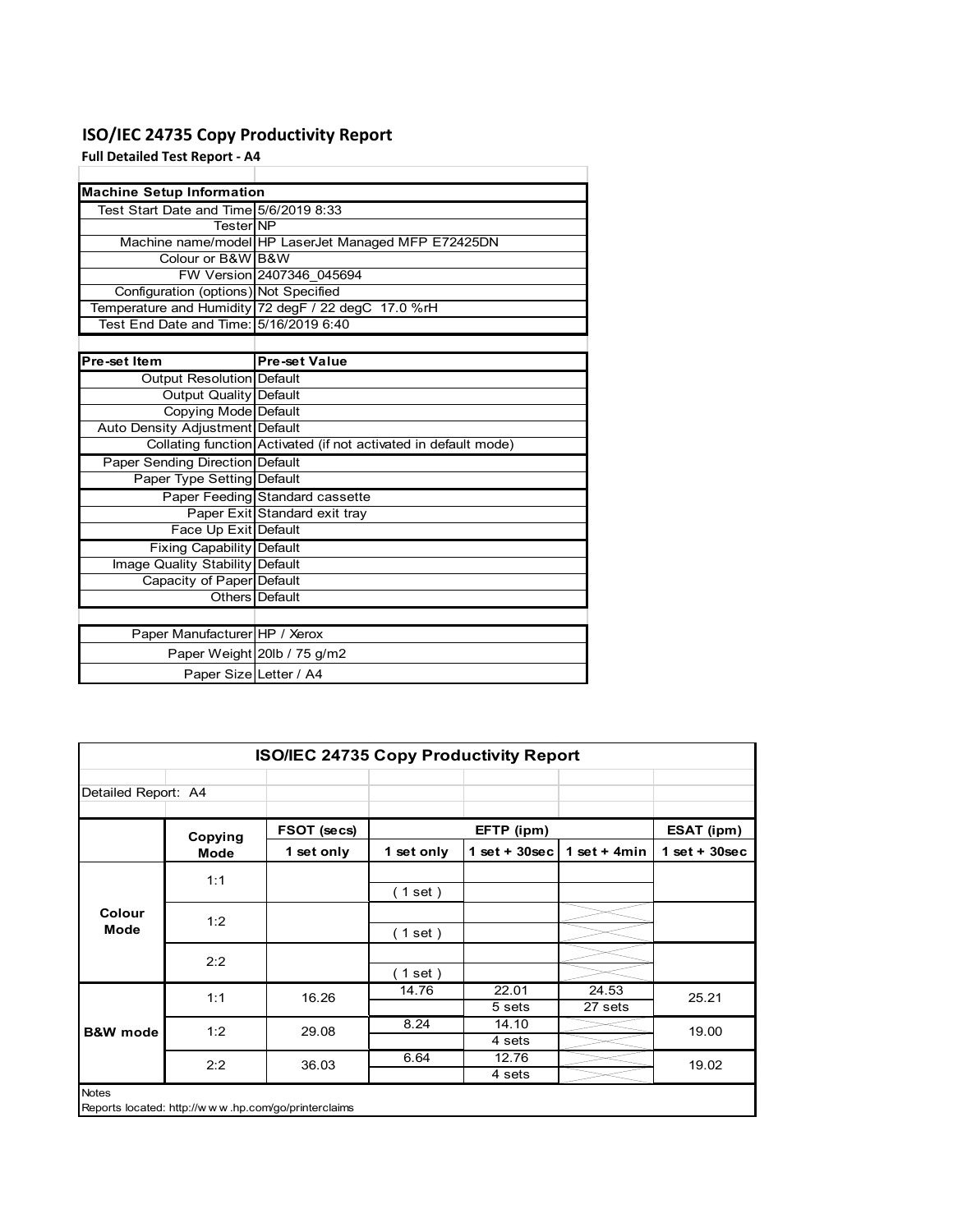### **ISO/IEC 24735 Copy Productivity Report**

**Full Detailed Test Report ‐ A4**

| <b>Machine Setup Information</b>       |                                                                 |
|----------------------------------------|-----------------------------------------------------------------|
| Test Start Date and Time 5/6/2019 8:33 |                                                                 |
| TesterINP                              |                                                                 |
|                                        | Machine name/model HP LaserJet Managed MFP E72425DN             |
| Colour or B&W B&W                      |                                                                 |
|                                        | FW Version 2407346 045694                                       |
| Configuration (options) Not Specified  |                                                                 |
|                                        | Temperature and Humidity 72 degF / 22 degC 17.0 %rH             |
| Test End Date and Time: 5/16/2019 6:40 |                                                                 |
|                                        |                                                                 |
| Pre-set Item                           | <b>Pre-set Value</b>                                            |
| Output Resolution Default              |                                                                 |
| <b>Output Quality Default</b>          |                                                                 |
| Copying Mode Default                   |                                                                 |
| Auto Density Adjustment Default        |                                                                 |
|                                        | Collating function Activated (if not activated in default mode) |
| <b>Paper Sending Direction Default</b> |                                                                 |
| Paper Type Setting Default             |                                                                 |
|                                        | Paper Feeding Standard cassette                                 |
|                                        | Paper Exit Standard exit tray                                   |
| Face Up Exit Default                   |                                                                 |
| <b>Fixing Capability Default</b>       |                                                                 |
| Image Quality Stability Default        |                                                                 |
| Capacity of Paper Default              |                                                                 |
|                                        | Others Default                                                  |
|                                        |                                                                 |
| Paper Manufacturer HP / Xerox          |                                                                 |
|                                        | Paper Weight 20lb / 75 g/m2                                     |
| Paper Size Letter / A4                 |                                                                 |

|                     | <b>ISO/IEC 24735 Copy Productivity Report</b> |                                                     |            |                  |                  |                 |
|---------------------|-----------------------------------------------|-----------------------------------------------------|------------|------------------|------------------|-----------------|
| Detailed Report: A4 |                                               |                                                     |            |                  |                  |                 |
|                     | Copying                                       | FSOT (secs)                                         |            | EFTP (ipm)       |                  | ESAT (ipm)      |
|                     | Mode                                          | 1 set only                                          | 1 set only | 1 set + $30$ sec | 1 set $+$ 4min   | $1$ set + 30sec |
|                     | 1:1                                           |                                                     | (1 set)    |                  |                  |                 |
| Colour<br>Mode      | 1:2                                           |                                                     | (1 set)    |                  |                  |                 |
|                     | 2:2                                           |                                                     | (1 set)    |                  |                  |                 |
|                     | 1:1                                           | 16.26                                               | 14.76      | 22.01<br>5 sets  | 24.53<br>27 sets | 25.21           |
| <b>B&amp;W</b> mode | 1:2                                           | 29.08                                               | 8.24       | 14.10<br>4 sets  |                  | 19.00           |
|                     | 2:2                                           | 36.03                                               | 6.64       | 12.76<br>4 sets  |                  | 19.02           |
| <b>Notes</b>        |                                               | Reports located: http://www.hp.com/go/printerclaims |            |                  |                  |                 |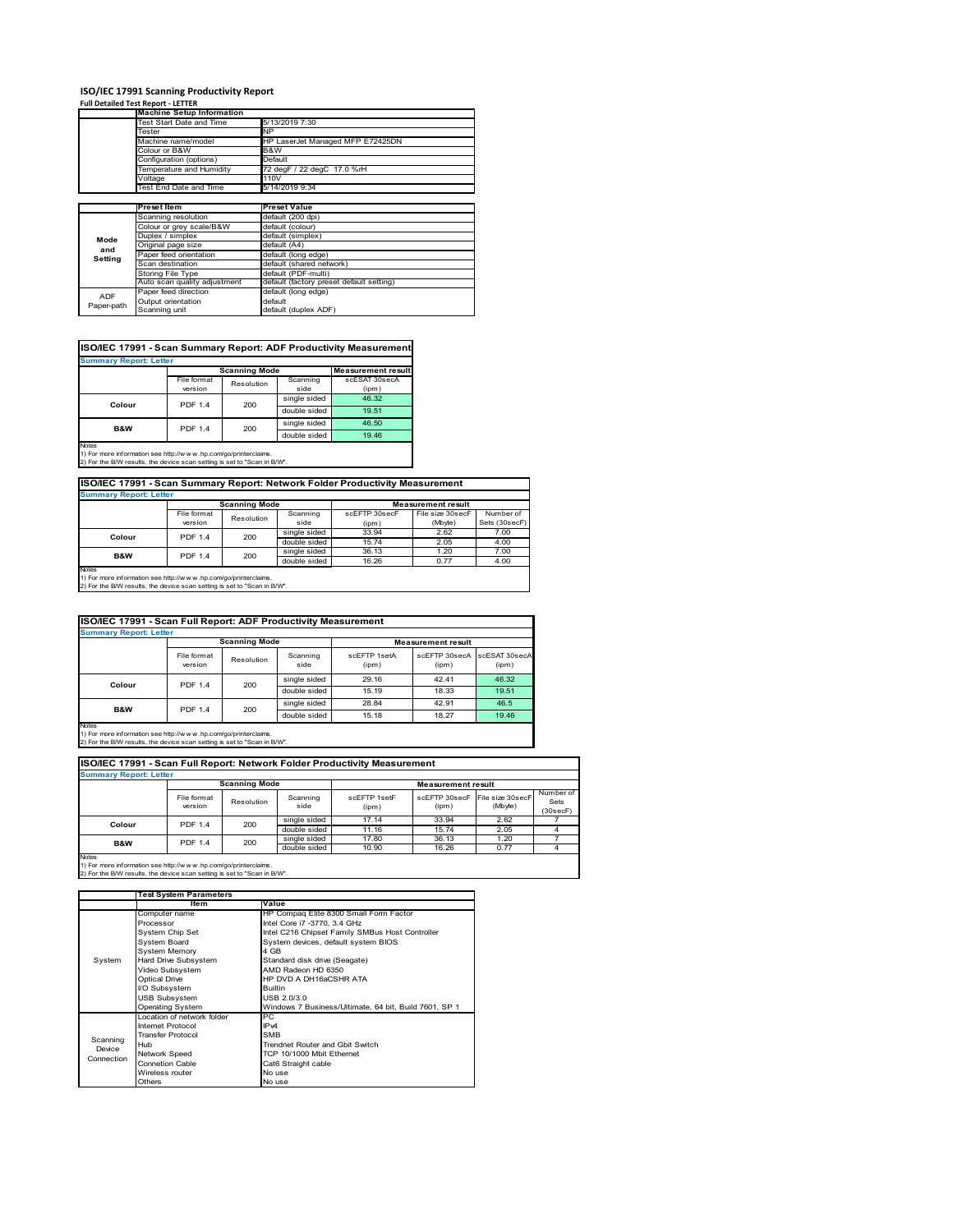# **ISO/IEC 17991 Scanning Productivity Report Full Detailed Test Report ‐ LETTER Machine Setup Information**

|            | <b>Machine Setup Information</b> |                                          |  |  |  |
|------------|----------------------------------|------------------------------------------|--|--|--|
|            | Test Start Date and Time         | 5/13/2019 7:30                           |  |  |  |
|            | Tester                           | NP                                       |  |  |  |
|            | Machine name/model               | HP LaserJet Managed MFP E72425DN         |  |  |  |
|            | Colour or B&W                    | B&W                                      |  |  |  |
|            | Configuration (options)          | Default                                  |  |  |  |
|            | Temperature and Humidity         | 72 degF / 22 degC 17.0 %rH               |  |  |  |
|            | Voltage                          | 110V                                     |  |  |  |
|            | Test End Date and Time           | 5/14/2019 9:34                           |  |  |  |
|            |                                  |                                          |  |  |  |
|            | Preset Item                      | <b>Preset Value</b>                      |  |  |  |
|            | Scanning resolution              | default (200 dpi)                        |  |  |  |
|            | Colour or grey scale/B&W         | default (colour)                         |  |  |  |
| Mode       | Duplex / simplex                 | default (simplex)                        |  |  |  |
|            | Original page size               | default (A4)                             |  |  |  |
| and        | Paper feed orientation           | default (long edge)                      |  |  |  |
| Setting    | Scan destination                 | default (shared network)                 |  |  |  |
|            | <b>Storing File Type</b>         | default (PDF-multi)                      |  |  |  |
|            | Auto scan quality adjustment     | default (factory preset default setting) |  |  |  |
| <b>ADF</b> | Paper feed direction             | default (long edge)                      |  |  |  |
|            | Output orientation               | default                                  |  |  |  |
| Paper-path | Scanning unit                    | default (duplex ADF)                     |  |  |  |

| ISO/IEC 17991 - Scan Summary Report: ADF Productivity Measurement |                |                      |              |                           |  |
|-------------------------------------------------------------------|----------------|----------------------|--------------|---------------------------|--|
| <b>Summary Report: Letter</b>                                     |                |                      |              |                           |  |
|                                                                   |                | <b>Scanning Mode</b> |              | <b>Measurement result</b> |  |
|                                                                   | File format    | Resolution           | Scanning     | scESAT 30secA             |  |
|                                                                   | version        |                      | side         | (ipm)                     |  |
|                                                                   | <b>PDF 1.4</b> | 200                  | single sided | 46.32                     |  |
| Colour                                                            |                |                      | double sided | 19.51                     |  |
| <b>B&amp;W</b>                                                    | <b>PDF 1.4</b> | 200                  | single sided | 46.50                     |  |
|                                                                   |                |                      | double sided | 19.46                     |  |
| <b>Notes</b>                                                      |                |                      |              |                           |  |

Notes 1) For more information see http://w w w .hp.com/go/printerclaims. 2) For the B/W results, the device scan setting is set to "Scan in B/W".

**ISO/IEC 17991 - Scan Summary Report: Network Folder Productivity Measurement**

| <b>Summary Report: Letter</b> |                |                      |              |                           |                  |               |
|-------------------------------|----------------|----------------------|--------------|---------------------------|------------------|---------------|
|                               |                | <b>Scanning Mode</b> |              | <b>Measurement result</b> |                  |               |
|                               | File format    | Resolution           | Scanning     | scEFTP 30secF             | File size 30secF | Number of     |
|                               | version        |                      | side         | (ipm)                     | (Mbyte)          | Sets (30secF) |
| Colour                        | <b>PDF 1.4</b> | 200                  | single sided | 33.94                     | 2.62             | 7.00          |
|                               |                |                      | double sided | 15.74                     | 2.05             | 4.00          |
| <b>B&amp;W</b>                | <b>PDF 1.4</b> | 200                  | single sided | 36.13                     | 1.20             | 7.00          |
|                               |                |                      | double sided | 16.26                     | 0.77             | 4.00          |
| <b>Notes</b>                  |                |                      |              |                           |                  |               |

┓

Notes 1) For more information see http://w w w .hp.com/go/printerclaims. 2) For the B/W results, the device scan setting is set to "Scan in B/W".

| ISO/IEC 17991 - Scan Full Report: ADF Productivity Measurement |                        |                      |                  |                       |                           |                        |
|----------------------------------------------------------------|------------------------|----------------------|------------------|-----------------------|---------------------------|------------------------|
| <b>Summary Report: Letter</b>                                  |                        |                      |                  |                       |                           |                        |
|                                                                |                        | <b>Scanning Mode</b> |                  |                       | <b>Measurement result</b> |                        |
|                                                                | File format<br>version | Resolution           | Scanning<br>side | scFFTP 1setA<br>(ipm) | scEFTP 30secA<br>(ipm)    | scESAT 30secA<br>(ipm) |
| Colour                                                         | <b>PDF 1.4</b>         | 200                  | single sided     | 29.16                 | 42.41                     | 46.32                  |
|                                                                |                        |                      | double sided     | 15.19                 | 18.33                     | 19.51                  |
| <b>B&amp;W</b>                                                 | <b>PDF 1.4</b>         | 200                  | single sided     | 28.84                 | 42.91                     | 46.5                   |
|                                                                |                        |                      | double sided     | 15.18                 | 18.27                     | 19.46                  |
| <b>Notes</b>                                                   |                        |                      |                  |                       |                           |                        |

Notes 1) For more information see http://w w w .hp.com/go/printerclaims. 2) For the B/W results, the device scan setting is set to "Scan in B/W".

| ISO/IEC 17991 - Scan Full Report: Network Folder Productivity Measurement |                        |            |                  |                       |                        |                             |                               |
|---------------------------------------------------------------------------|------------------------|------------|------------------|-----------------------|------------------------|-----------------------------|-------------------------------|
| <b>Summary Report: Letter</b>                                             |                        |            |                  |                       |                        |                             |                               |
| <b>Scanning Mode</b><br><b>Measurement result</b>                         |                        |            |                  |                       |                        |                             |                               |
|                                                                           | File format<br>version | Resolution | Scanning<br>side | scEETP 1setE<br>(ipm) | scEFTP 30secF<br>(ipm) | File size 30secF<br>(Mbyte) | Number of<br>Sets<br>(30secF) |
| Colour                                                                    | PDF 1.4                | 200        | single sided     | 17.14                 | 33.94                  | 2.62                        |                               |
|                                                                           |                        |            | double sided     | 11.16                 | 15.74                  | 2.05                        |                               |
| 200<br><b>B&amp;W</b><br><b>PDF 1.4</b>                                   | single sided           | 17.80      | 36.13            | 1.20                  |                        |                             |                               |
|                                                                           |                        |            | double sided     | 10.90                 | 16.26                  | 0.77                        | 4                             |
| <b>Notes</b>                                                              |                        |            |                  |                       |                        |                             |                               |

|            | <b>Test System Parameters</b> |                                                       |  |
|------------|-------------------------------|-------------------------------------------------------|--|
|            | Item                          | Value                                                 |  |
|            | Computer name                 | HP Compaq Elite 8300 Small Form Factor                |  |
|            | Processor                     | Intel Core i7 -3770, 3.4 GHz                          |  |
|            | System Chip Set               | Intel C216 Chipset Family SMBus Host Controller       |  |
|            | <b>System Board</b>           | System devices, default system BIOS                   |  |
|            | <b>System Memory</b>          | 4 GB                                                  |  |
| System     | Hard Drive Subsystem          | Standard disk drive (Seagate)                         |  |
|            | Video Subsystem               | AMD Radeon HD 6350                                    |  |
|            | <b>Optical Drive</b>          | HP DVD A DH16aCSHR ATA                                |  |
|            | I/O Subsystem                 | <b>Builtin</b>                                        |  |
|            | <b>USB Subsystem</b>          | USB 2.0/3.0                                           |  |
|            | <b>Operating System</b>       | Windows 7 Business/Ultimate, 64 bit, Build 7601, SP 1 |  |
|            | I ocation of network folder   | PC.                                                   |  |
|            | Internet Protocol             | IP <sub>v4</sub>                                      |  |
| Scanning   | <b>Transfer Protocol</b>      | <b>SMB</b>                                            |  |
| Device     | Hub                           | Trendnet Router and Gbit Switch                       |  |
| Connection | Network Speed                 | TCP 10/1000 Mbit Ethernet                             |  |
|            | <b>Connetion Cable</b>        | Cat6 Straight cable                                   |  |
|            | Wireless router               | No use                                                |  |
|            | Others                        | No use                                                |  |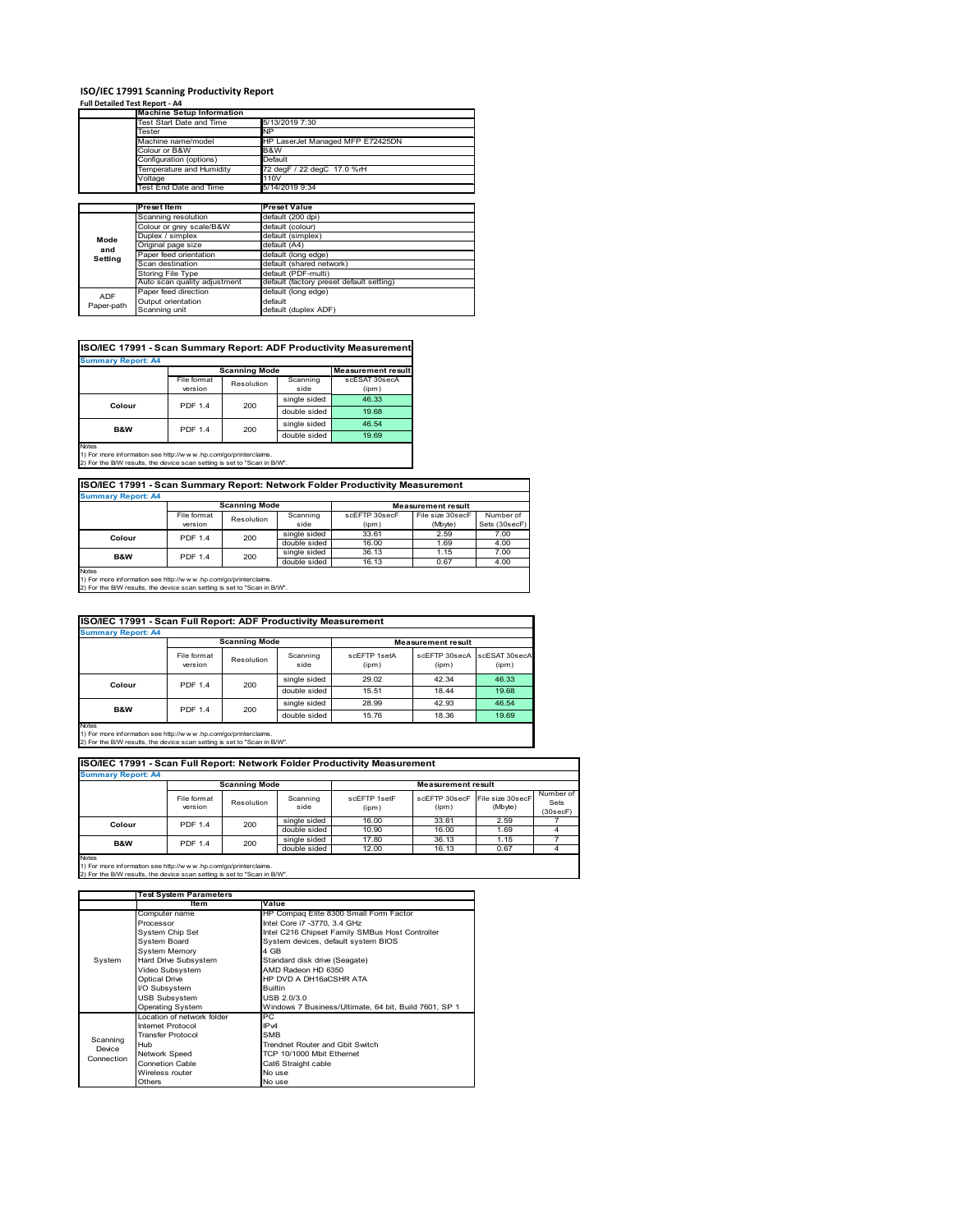#### **ISO/IEC 17991 Scanning Productivity Report**

**Full Detailed Test Report ‐ A4**

|                          | <b>Machine Setup Information</b> |                                          |  |  |  |
|--------------------------|----------------------------------|------------------------------------------|--|--|--|
|                          | <b>Test Start Date and Time</b>  | 5/13/2019 7:30                           |  |  |  |
|                          | Tester                           | NP                                       |  |  |  |
|                          | Machine name/model               | HP LaserJet Managed MFP E72425DN         |  |  |  |
|                          | Colour or B&W                    | B&W                                      |  |  |  |
|                          | Configuration (options)          | Default                                  |  |  |  |
|                          | emperature and Humidity          | 72 degF / 22 degC 17.0 %rH               |  |  |  |
|                          | Voltage                          | 110V                                     |  |  |  |
|                          | Test End Date and Time           | 5/14/2019 9:34                           |  |  |  |
|                          |                                  |                                          |  |  |  |
|                          | <b>Preset Item</b>               | <b>Preset Value</b>                      |  |  |  |
|                          | Scanning resolution              | default (200 dpi)                        |  |  |  |
|                          | Colour or grey scale/B&W         | default (colour)                         |  |  |  |
| Mode                     | Duplex / simplex                 | default (simplex)                        |  |  |  |
|                          | Original page size               | default (A4)                             |  |  |  |
| and                      | Paper feed orientation           | default (long edge)                      |  |  |  |
| Setting                  | Scan destination                 | default (shared network)                 |  |  |  |
|                          | Storing File Type                | default (PDF-multi)                      |  |  |  |
|                          | Auto scan quality adjustment     | default (factory preset default setting) |  |  |  |
|                          | Paper feed direction             | default (long edge)                      |  |  |  |
| <b>ADF</b><br>Paper-path |                                  |                                          |  |  |  |
|                          | Output orientation               | default                                  |  |  |  |

| ISO/IEC 17991 - Scan Summary Report: ADF Productivity Measurement |                           |                      |              |                           |  |  |  |  |
|-------------------------------------------------------------------|---------------------------|----------------------|--------------|---------------------------|--|--|--|--|
|                                                                   | <b>Summary Report: A4</b> |                      |              |                           |  |  |  |  |
|                                                                   |                           | <b>Scanning Mode</b> |              | <b>Measurement result</b> |  |  |  |  |
|                                                                   | File format               | Resolution           | Scanning     | scESAT 30secA             |  |  |  |  |
|                                                                   | version                   |                      | side         | (ipm)                     |  |  |  |  |
| Colour                                                            | <b>PDF 1.4</b>            | 200                  | single sided | 46.33                     |  |  |  |  |
|                                                                   |                           |                      | double sided | 19.68                     |  |  |  |  |
| <b>B&amp;W</b>                                                    | <b>PDF 1.4</b>            | 200                  | single sided | 46.54                     |  |  |  |  |
|                                                                   |                           |                      | double sided | 19.69                     |  |  |  |  |
| <b>Notes</b>                                                      |                           |                      |              |                           |  |  |  |  |

Notes 1) For more information see http://w w w .hp.com/go/printerclaims. 2) For the B/W results, the device scan setting is set to "Scan in B/W".

File format<br>version le format Resolution Scanning<br>
version Resolution side scEFTP 30secF (ipm) File size 30secF (Mbyte) Number of Sets (30secF) single sided 33.61 2.59 7.00<br>
double sided 16.00 1.69 4.00 double sided 16.00 1.69 4.00<br>single sided 36.13 1.15 7.00 **ISO/IEC 17991 - Scan Summary Report: Network Folder Productivity Measurement Summary Report: A4 Measurement result Scanning Mode Colour** PDF 1.4 200

single sided 36.13 1.15 7.00<br>double sided 16.13 0.67 4.00 double sided 16.13 0.67 4.00 **B&W** PDF 1.4 200

Notes 1) For more information see http://w w w .hp.com/go/printerclaims. 2) For the B/W results, the device scan setting is set to "Scan in B/W".

|                           | ISO/IEC 17991 - Scan Full Report: ADF Productivity Measurement |                      |                  |                       |                           |                        |
|---------------------------|----------------------------------------------------------------|----------------------|------------------|-----------------------|---------------------------|------------------------|
| <b>Summary Report: A4</b> |                                                                |                      |                  |                       |                           |                        |
|                           |                                                                | <b>Scanning Mode</b> |                  |                       | <b>Measurement result</b> |                        |
|                           | File format<br>version                                         | Resolution           | Scanning<br>side | scFFTP 1setA<br>(ipm) | scEFTP 30secA<br>(ipm)    | scESAT 30secA<br>(ipm) |
|                           | <b>PDF 1.4</b>                                                 | 200                  | single sided     | 29.02                 | 42.34                     | 46.33                  |
| Colour                    |                                                                |                      | double sided     | 15.51                 | 18.44                     | 19.68                  |
| <b>B&amp;W</b>            | <b>PDF 1.4</b>                                                 | 200                  | single sided     | 28.99                 | 42.93                     | 46.54                  |
|                           |                                                                |                      | double sided     | 15.76                 | 18.36                     | 19.69                  |
| <b>Notes</b>              |                                                                |                      |                  |                       |                           |                        |

Notes 1) For more information see http://w w w .hp.com/go/printerclaims. 2) For the B/W results, the device scan setting is set to "Scan in B/W".

File format Resolution Scanning side scEFTP 1setF (ipm) scEFTP 30secF (ipm) File size 30secF (Mbyte) Number of Sets (30secF) single sided 16.00 33.61 2.59 double sided 10.90 16.00 1.69 4<br>single sided 17.80 36.13 1.15 7 single sided 17.80 36.13 1.15 7 double sided 12.00 16.13 0.67 4 **Scanning Mode Measurement result Colour** PDF 1.4 200 **B&W** PDF 1.4 200 **Summary Report: A4 ISO/IEC 17991 - Scan Full Report: Network Folder Productivity Measurement**

|            | <b>Test System Parameters</b> |                                                       |  |
|------------|-------------------------------|-------------------------------------------------------|--|
|            | Item                          | Value                                                 |  |
|            | Computer name                 | HP Compaq Elite 8300 Small Form Factor                |  |
|            | Processor                     | Intel Core i7 -3770, 3.4 GHz                          |  |
|            | System Chip Set               | Intel C216 Chipset Family SMBus Host Controller       |  |
|            | <b>System Board</b>           | System devices, default system BIOS                   |  |
|            | <b>System Memory</b>          | 4 GB                                                  |  |
| System     | Hard Drive Subsystem          | Standard disk drive (Seagate)                         |  |
|            | Video Subsystem               | AMD Radeon HD 6350                                    |  |
|            | <b>Optical Drive</b>          | HP DVD A DH16aCSHR ATA                                |  |
|            | I/O Subsystem                 | <b>Builtin</b>                                        |  |
|            | <b>USB Subsystem</b>          | USB 2.0/3.0                                           |  |
|            | <b>Operating System</b>       | Windows 7 Business/Ultimate, 64 bit, Build 7601, SP 1 |  |
|            | I ocation of network folder   | PC.                                                   |  |
|            | Internet Protocol             | IP <sub>v4</sub>                                      |  |
| Scanning   | <b>Transfer Protocol</b>      | <b>SMB</b>                                            |  |
| Device     | Hub                           | Trendnet Router and Gbit Switch                       |  |
| Connection | Network Speed                 | TCP 10/1000 Mbit Ethernet                             |  |
|            | <b>Connetion Cable</b>        | Cat6 Straight cable                                   |  |
|            | Wireless router               | No use                                                |  |
|            | Others                        | No use                                                |  |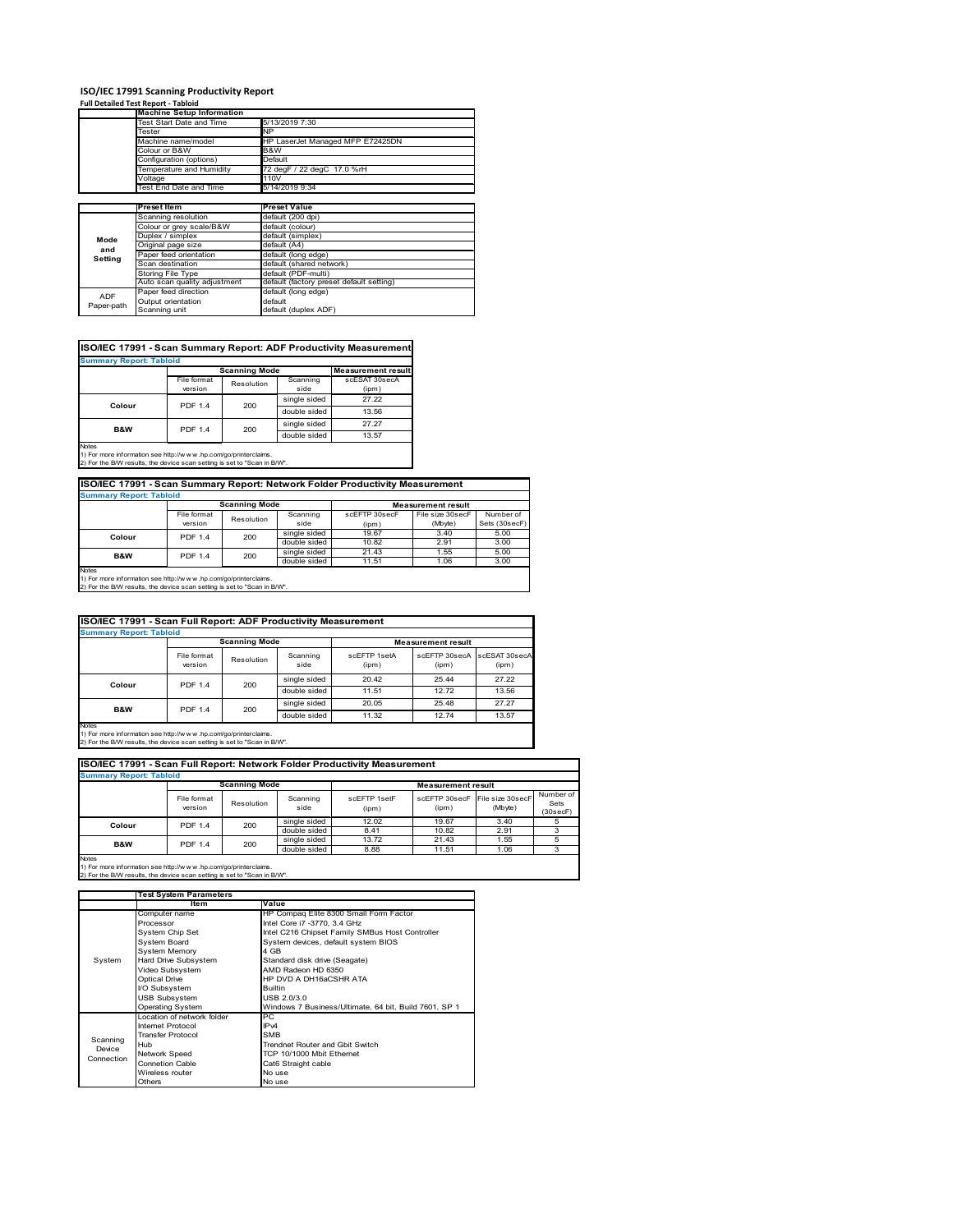# **ISO/IEC 17991 Scanning Productivity Report Full Detailed Test Report ‐ Tabloid Machine Setup Information**

|            | <b>Machine Setup Information</b> |                                          |  |  |  |
|------------|----------------------------------|------------------------------------------|--|--|--|
|            | Test Start Date and Time         | 5/13/2019 7:30                           |  |  |  |
|            | Tester                           | NP                                       |  |  |  |
|            | Machine name/model               | HP LaserJet Managed MFP E72425DN         |  |  |  |
|            | Colour or B&W                    | B&W                                      |  |  |  |
|            | Configuration (options)          | Default                                  |  |  |  |
|            | Temperature and Humidity         | 72 degF / 22 degC 17.0 %rH               |  |  |  |
|            | Voltage                          | 110V                                     |  |  |  |
|            | Test End Date and Time           | 5/14/2019 9:34                           |  |  |  |
|            |                                  |                                          |  |  |  |
|            | Preset Item                      | <b>Preset Value</b>                      |  |  |  |
|            | Scanning resolution              | default (200 dpi)                        |  |  |  |
|            | Colour or grey scale/B&W         | default (colour)                         |  |  |  |
| Mode       | Duplex / simplex                 | default (simplex)                        |  |  |  |
|            | Original page size               | default (A4)                             |  |  |  |
| and        | Paper feed orientation           | default (long edge)                      |  |  |  |
| Setting    | Scan destination                 | default (shared network)                 |  |  |  |
|            | <b>Storing File Type</b>         | default (PDF-multi)                      |  |  |  |
|            | Auto scan quality adjustment     | default (factory preset default setting) |  |  |  |
| <b>ADF</b> | Paper feed direction             | default (long edge)                      |  |  |  |
|            | Output orientation               | default                                  |  |  |  |
| Paper-path | Scanning unit                    | default (duplex ADF)                     |  |  |  |

| <b>Summary Report: Tabloid</b> |                |                      |              |                           |  |  |  |
|--------------------------------|----------------|----------------------|--------------|---------------------------|--|--|--|
|                                |                | <b>Scanning Mode</b> |              | <b>Measurement result</b> |  |  |  |
|                                | File format    | Resolution           | Scanning     | scESAT 30secA             |  |  |  |
|                                | version        |                      | side         | (ipm)                     |  |  |  |
| Colour                         | <b>PDF 1.4</b> | 200                  | single sided | 27.22                     |  |  |  |
|                                |                |                      | double sided | 13.56                     |  |  |  |
| <b>B&amp;W</b>                 | <b>PDF 1.4</b> | 200                  | single sided | 27.27                     |  |  |  |
|                                |                |                      | double sided | 13.57                     |  |  |  |

1) For more information see http://w w w .hp.com/go/printerclaims. 2) For the B/W results, the device scan setting is set to "Scan in B/W".

| ISO/IEC 17991 - Scan Summary Report: Network Folder Productivity Measurement |                |            |                           |               |                  |               |
|------------------------------------------------------------------------------|----------------|------------|---------------------------|---------------|------------------|---------------|
| <b>Summary Report: Tabloid</b>                                               |                |            |                           |               |                  |               |
| <b>Scanning Mode</b>                                                         |                |            | <b>Measurement result</b> |               |                  |               |
|                                                                              | File format    | Resolution | Scanning                  | scEFTP 30secF | File size 30secF | Number of     |
|                                                                              | version        |            | side                      | (ipm)         | (Mbyte)          | Sets (30secF) |
| Colour                                                                       | <b>PDF 1.4</b> | 200        | single sided              | 19.67         | 3.40             | 5.00          |
|                                                                              |                |            | double sided              | 10.82         | 2.91             | 3.00          |
| <b>B&amp;W</b>                                                               | <b>PDF 1.4</b> | 200        | single sided              | 21.43         | 1.55             | 5.00          |
|                                                                              |                |            | double sided              | 11.51         | 1.06             | 3.00          |
| Notee                                                                        |                |            |                           |               |                  |               |

Notes 1) For more information see http://w w w .hp.com/go/printerclaims. 2) For the B/W results, the device scan setting is set to "Scan in B/W".

| ISO/IEC 17991 - Scan Full Report: ADF Productivity Measurement                                                                                                 |                        |              |                  |                       |                           |                        |  |
|----------------------------------------------------------------------------------------------------------------------------------------------------------------|------------------------|--------------|------------------|-----------------------|---------------------------|------------------------|--|
| <b>Summary Report: Tabloid</b>                                                                                                                                 |                        |              |                  |                       |                           |                        |  |
|                                                                                                                                                                | <b>Scanning Mode</b>   |              |                  |                       | <b>Measurement result</b> |                        |  |
|                                                                                                                                                                | File format<br>version | Resolution   | Scanning<br>side | scFFTP 1setA<br>(ipm) | scEETP 30secA<br>(ipm)    | scESAT 30secA<br>(ipm) |  |
| <b>PDF 1.4</b><br>Colour                                                                                                                                       |                        | 200          | single sided     | 20.42                 | 25.44                     | 27.22                  |  |
|                                                                                                                                                                |                        |              | double sided     | 11.51                 | 12.72                     | 13.56                  |  |
| B&W                                                                                                                                                            | <b>PDF 1.4</b>         |              | single sided     | 20.05                 | 25.48                     | 27.27                  |  |
|                                                                                                                                                                | 200                    | double sided | 11.32            | 12.74                 | 13.57                     |                        |  |
| <b>Notes</b><br>1) For more information see http://w w w .hp.com/go/printerclaims.<br>2) For the B/W results, the device scan setting is set to "Scan in B/W". |                        |              |                  |                       |                           |                        |  |

| ISO/IEC 17991 - Scan Full Report: Network Folder Productivity Measurement |                        |              |                  |                           |       |                                           |                               |
|---------------------------------------------------------------------------|------------------------|--------------|------------------|---------------------------|-------|-------------------------------------------|-------------------------------|
| <b>Summary Report: Tabloid</b>                                            |                        |              |                  |                           |       |                                           |                               |
|                                                                           | <b>Scanning Mode</b>   |              |                  | <b>Measurement result</b> |       |                                           |                               |
|                                                                           | File format<br>version | Resolution   | Scanning<br>side | scFFTP 1setF<br>(ipm)     | (ipm) | scEFTP 30secF File size 30secF<br>(Mbyte) | Number of<br>Sets<br>(30secF) |
| Colour                                                                    | <b>PDF 1.4</b>         | 200          | single sided     | 12.02                     | 19.67 | 3.40                                      |                               |
|                                                                           |                        |              | double sided     | 8.41                      | 10.82 | 2.91                                      |                               |
| <b>B&amp;W</b>                                                            | 200<br><b>PDF 1.4</b>  | single sided | 13.72            | 21.43                     | 1.55  |                                           |                               |
|                                                                           |                        |              | double sided     | 8.88                      | 11.51 | 1.06                                      |                               |
| <b>Nintee</b>                                                             |                        |              |                  |                           |       |                                           |                               |

|            | <b>Test System Parameters</b> |                                                       |  |  |
|------------|-------------------------------|-------------------------------------------------------|--|--|
|            | Item                          | Value                                                 |  |  |
|            | Computer name                 | HP Compaq Elite 8300 Small Form Factor                |  |  |
|            | Processor                     | Intel Core i7 -3770, 3.4 GHz                          |  |  |
|            | System Chip Set               | Intel C216 Chipset Family SMBus Host Controller       |  |  |
|            | <b>System Board</b>           | System devices, default system BIOS                   |  |  |
|            | <b>System Memory</b>          | 4 GB                                                  |  |  |
| System     | Hard Drive Subsystem          | Standard disk drive (Seagate)                         |  |  |
|            | Video Subsystem               | AMD Radeon HD 6350                                    |  |  |
|            | <b>Optical Drive</b>          | HP DVD A DH16aCSHR ATA                                |  |  |
|            | I/O Subsystem                 | <b>Builtin</b>                                        |  |  |
|            | <b>USB Subsystem</b>          | USB 2.0/3.0                                           |  |  |
|            | Operating System              | Windows 7 Business/Ultimate, 64 bit, Build 7601, SP 1 |  |  |
|            | I ocation of network folder   | PC.                                                   |  |  |
|            | Internet Protocol             | IP <sub>v4</sub>                                      |  |  |
| Scanning   | <b>Transfer Protocol</b>      | <b>SMB</b>                                            |  |  |
| Device     | Hub                           | Trendnet Router and Gbit Switch                       |  |  |
| Connection | Network Speed                 | TCP 10/1000 Mbit Ethernet                             |  |  |
|            | <b>Connetion Cable</b>        | Cat6 Straight cable                                   |  |  |
|            | Wireless router               | No use                                                |  |  |
|            | Others                        | No use                                                |  |  |